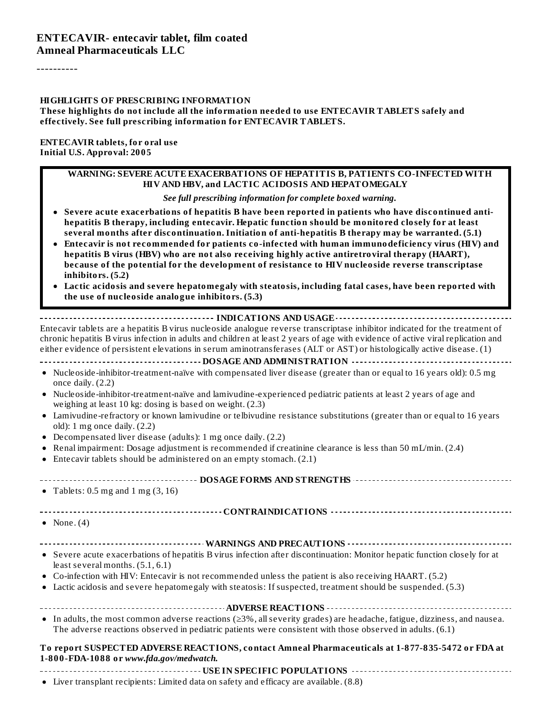----------

#### **HIGHLIGHTS OF PRESCRIBING INFORMATION**

**These highlights do not include all the information needed to use ENTECAVIR TABLETS safely and effectively. See full prescribing information for ENTECAVIR TABLETS.**

**ENTECAVIR tablets, for oral use Initial U.S. Approval: 2005**

#### **WARNING: SEVERE ACUTE EXACERBATIONS OF HEPATITIS B, PATIENTS CO-INFECTED WITH HIV AND HBV, and LACTIC ACIDOSIS AND HEPATOMEGALY**

*See full prescribing information for complete boxed warning.*

- **Severe acute exacerbations of hepatitis B have been reported in patients who have discontinued antihepatitis B therapy, including entecavir. Hepatic function should be monitored closely for at least several months after discontinuation. Initiation of anti-hepatitis B therapy may be warranted. (5.1)**
- **Entecavir is not recommended for patients co-infected with human immunodeficiency virus (HIV) and hepatitis B virus (HBV) who are not also receiving highly active antiretroviral therapy (HAART), because of the potential for the development of resistance to HIV nucleoside reverse transcriptase inhibitors. (5.2)**
- **Lactic acidosis and severe hepatomegaly with steatosis, including fatal cases, have been reported with the use of nucleoside analogue inhibitors. (5.3)**

**INDICATIONS AND USAGE** ................ Entecavir tablets are a hepatitis B virus nucleoside analogue reverse transcriptase inhibitor indicated for the treatment of chronic hepatitis B virus infection in adults and children at least 2 years of age with evidence of active viral replication and either evidence of persistent elevations in serum aminotransferases (ALT or AST) or histologically active disease. (1)

**DOSAGE AND ADMINISTRATION**

- Nucleoside-inhibitor-treatment-naïve with compensated liver disease (greater than or equal to 16 years old): 0.5 mg once daily. (2.2)
- Nucleoside-inhibitor-treatment-naïve and lamivudine-experienced pediatric patients at least 2 years of age and weighing at least 10 kg: dosing is based on weight. (2.3)
- Lamivudine-refractory or known lamivudine or telbivudine resistance substitutions (greater than or equal to 16 years old): 1 mg once daily. (2.2)
- Decompensated liver disease (adults): 1 mg once daily. (2.2)
- Renal impairment: Dosage adjustment is recommended if creatinine clearance is less than 50 mL/min. (2.4)
- Entecavir tablets should be administered on an empty stomach. (2.1)

**DOSAGE FORMS AND STRENGTHS**

• Tablets:  $0.5 \text{ mg}$  and  $1 \text{ mg}$   $(3, 16)$ 

**CONTRAINDICATIONS**

- None.  $(4)$
- **WARNINGS AND PRECAUTIONS**
- Severe acute exacerbations of hepatitis B virus infection after discontinuation: Monitor hepatic function closely for at least several months. (5.1, 6.1)
- Co-infection with HIV: Entecavir is not recommended unless the patient is also receiving HAART. (5.2)
- Lactic acidosis and severe hepatomegaly with steatosis: If suspected, treatment should be suspended. (5.3)

**ADVERSE REACTIONS** In adults, the most common adverse reactions (≥3%, allseverity grades) are headache, fatigue, dizziness, and nausea.

The adverse reactions observed in pediatric patients were consistent with those observed in adults. (6.1)

#### **To report SUSPECTED ADVERSE REACTIONS, contact Amneal Pharmaceuticals at 1-877-835-5472 or FDA at 1-800-FDA-1088 or** *www.fda.gov/medwatch.*

**USE IN SPECIFIC POPULATIONS**

Liver transplant recipients: Limited data on safety and efficacy are available. (8.8)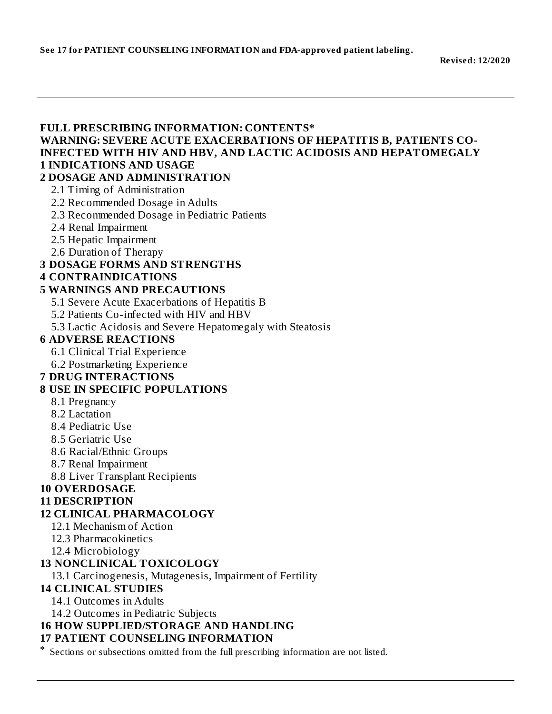#### **FULL PRESCRIBING INFORMATION: CONTENTS\* WARNING: SEVERE ACUTE EXACERBATIONS OF HEPATITIS B, PATIENTS CO-INFECTED WITH HIV AND HBV, AND LACTIC ACIDOSIS AND HEPATOMEGALY 1 INDICATIONS AND USAGE 2 DOSAGE AND ADMINISTRATION** 2.1 Timing of Administration 2.2 Recommended Dosage in Adults 2.3 Recommended Dosage in Pediatric Patients 2.4 Renal Impairment 2.5 Hepatic Impairment 2.6 Duration of Therapy **3 DOSAGE FORMS AND STRENGTHS 4 CONTRAINDICATIONS 5 WARNINGS AND PRECAUTIONS** 5.1 Severe Acute Exacerbations of Hepatitis B 5.2 Patients Co-infected with HIV and HBV 5.3 Lactic Acidosis and Severe Hepatomegaly with Steatosis **6 ADVERSE REACTIONS** 6.1 Clinical Trial Experience 6.2 Postmarketing Experience **7 DRUG INTERACTIONS 8 USE IN SPECIFIC POPULATIONS** 8.1 Pregnancy 8.2 Lactation 8.4 Pediatric Use 8.5 Geriatric Use 8.6 Racial/Ethnic Groups 8.7 Renal Impairment 8.8 Liver Transplant Recipients **10 OVERDOSAGE 11 DESCRIPTION 12 CLINICAL PHARMACOLOGY** 12.1 Mechanism of Action 12.3 Pharmacokinetics 12.4 Microbiology **13 NONCLINICAL TOXICOLOGY** 13.1 Carcinogenesis, Mutagenesis, Impairment of Fertility **14 CLINICAL STUDIES** 14.1 Outcomes in Adults 14.2 Outcomes in Pediatric Subjects **16 HOW SUPPLIED/STORAGE AND HANDLING 17 PATIENT COUNSELING INFORMATION** \* Sections or subsections omitted from the full prescribing information are not listed.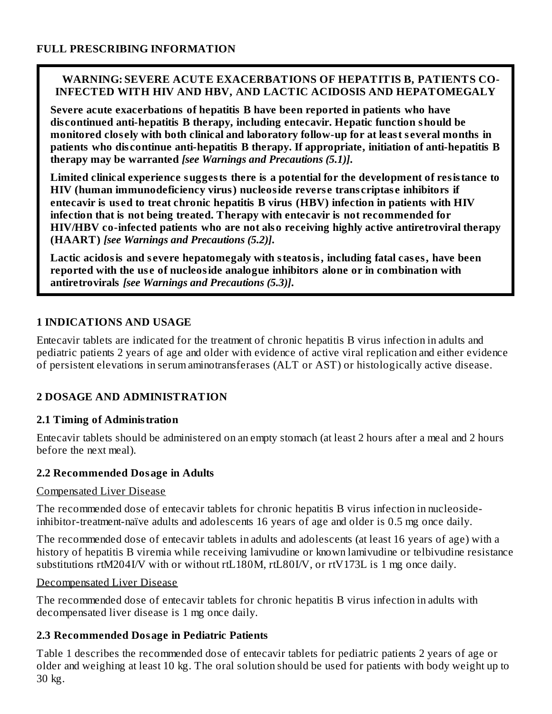#### **WARNING: SEVERE ACUTE EXACERBATIONS OF HEPATITIS B, PATIENTS CO-INFECTED WITH HIV AND HBV, AND LACTIC ACIDOSIS AND HEPATOMEGALY**

**Severe acute exacerbations of hepatitis B have been reported in patients who have dis continued anti-hepatitis B therapy, including entecavir. Hepatic function should be monitored clos ely with both clinical and laboratory follow-up for at least s everal months in patients who dis continue anti-hepatitis B therapy. If appropriate, initiation of anti-hepatitis B therapy may be warranted** *[see Warnings and Precautions (5.1)]***.**

**Limited clinical experience suggests there is a potential for the development of resistance to HIV (human immunodeficiency virus) nucleoside revers e trans criptas e inhibitors if entecavir is us ed to treat chronic hepatitis B virus (HBV) infection in patients with HIV infection that is not being treated. Therapy with entecavir is not recommended for HIV/HBV co-infected patients who are not also receiving highly active antiretroviral therapy (HAART)** *[see Warnings and Precautions (5.2)]***.**

**Lactic acidosis and s evere hepatomegaly with steatosis, including fatal cas es, have been reported with the us e of nucleoside analogue inhibitors alone or in combination with antiretrovirals** *[see Warnings and Precautions (5.3)]***.**

## **1 INDICATIONS AND USAGE**

Entecavir tablets are indicated for the treatment of chronic hepatitis B virus infection in adults and pediatric patients 2 years of age and older with evidence of active viral replication and either evidence of persistent elevations in serum aminotransferases (ALT or AST) or histologically active disease.

## **2 DOSAGE AND ADMINISTRATION**

## **2.1 Timing of Administration**

Entecavir tablets should be administered on an empty stomach (at least 2 hours after a meal and 2 hours before the next meal).

## **2.2 Recommended Dosage in Adults**

#### Compensated Liver Disease

The recommended dose of entecavir tablets for chronic hepatitis B virus infection in nucleosideinhibitor-treatment-naïve adults and adolescents 16 years of age and older is 0.5 mg once daily.

The recommended dose of entecavir tablets in adults and adolescents (at least 16 years of age) with a history of hepatitis B viremia while receiving lamivudine or known lamivudine or telbivudine resistance substitutions rtM204I/V with or without rtL180M, rtL80I/V, or rtV173L is 1 mg once daily.

#### Decompensated Liver Disease

The recommended dose of entecavir tablets for chronic hepatitis B virus infection in adults with decompensated liver disease is 1 mg once daily.

## **2.3 Recommended Dosage in Pediatric Patients**

Table 1 describes the recommended dose of entecavir tablets for pediatric patients 2 years of age or older and weighing at least 10 kg. The oral solution should be used for patients with body weight up to 30 kg.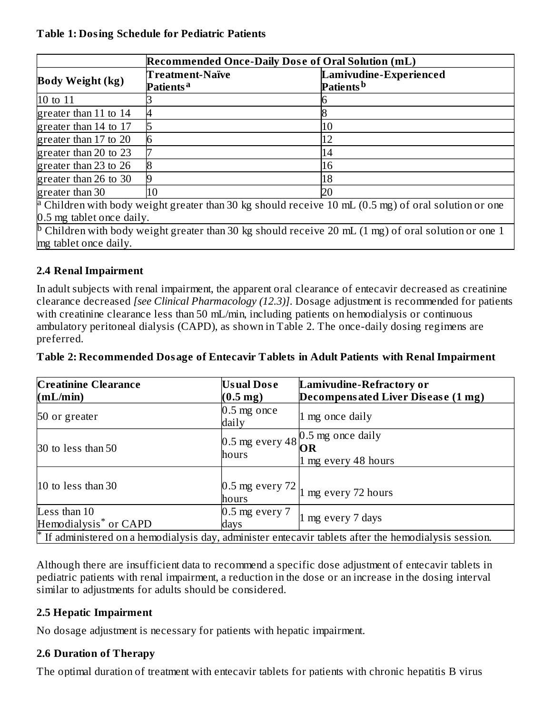#### **Table 1: Dosing Schedule for Pediatric Patients**

|                           | <b>Recommended Once-Daily Dose of Oral Solution (mL)</b> |                                                                                                                           |  |  |  |  |  |
|---------------------------|----------------------------------------------------------|---------------------------------------------------------------------------------------------------------------------------|--|--|--|--|--|
| <b>Body Weight (kg)</b>   | <b>Treatment-Naïve</b><br>Patients <sup>a</sup>          | Lamivudine-Experienced<br>Patients <sup>b</sup>                                                                           |  |  |  |  |  |
| 10 to 11                  |                                                          |                                                                                                                           |  |  |  |  |  |
| greater than $11$ to $14$ |                                                          |                                                                                                                           |  |  |  |  |  |
| greater than 14 to 17     |                                                          | 10                                                                                                                        |  |  |  |  |  |
| greater than 17 to 20     | 6                                                        | 12                                                                                                                        |  |  |  |  |  |
| greater than 20 to 23     |                                                          | 14                                                                                                                        |  |  |  |  |  |
| greater than 23 to 26     |                                                          | 16                                                                                                                        |  |  |  |  |  |
| greater than 26 to 30     |                                                          | 18                                                                                                                        |  |  |  |  |  |
| greater than 30           | 10                                                       | 20                                                                                                                        |  |  |  |  |  |
|                           |                                                          | <sup>a</sup> Children with body weight greater than 30 kg should receive 10 mL $(0.5 \text{ mg})$ of oral solution or one |  |  |  |  |  |
| 0.5 mg tablet once daily. |                                                          |                                                                                                                           |  |  |  |  |  |
| mg tablet once daily.     |                                                          | <sup>D</sup> Children with body weight greater than 30 kg should receive 20 mL $(1 \text{ mg})$ of oral solution or one 1 |  |  |  |  |  |

## **2.4 Renal Impairment**

In adult subjects with renal impairment, the apparent oral clearance of entecavir decreased as creatinine clearance decreased *[see Clinical Pharmacology (12.3)]*. Dosage adjustment is recommended for patients with creatinine clearance less than 50 mL/min, including patients on hemodialysis or continuous ambulatory peritoneal dialysis (CAPD), as shown in Table 2. The once-daily dosing regimens are preferred.

#### **Table 2: Recommended Dosage of Entecavir Tablets in Adult Patients with Renal Impairment**

| <b>Creatinine Clearance</b>       | <b>Usual Dose</b>      | <b>Lamivudine-Refractory or</b>                                                                                |
|-----------------------------------|------------------------|----------------------------------------------------------------------------------------------------------------|
| (mL/min)                          | $(0.5 \,\mathrm{mg})$  | Decompensated Liver Disease (1 mg)                                                                             |
| 50 or greater                     | $0.5$ mg once<br>daily | 1 mg once daily                                                                                                |
|                                   |                        |                                                                                                                |
| 30 to less than 50                |                        | 0.5 mg every 48 $\bigcirc{\text{OR}}$ once daily                                                               |
|                                   | hours                  | 1 mg every 48 hours                                                                                            |
|                                   |                        |                                                                                                                |
| 10 to less than 30                | hours                  | 0.5 mg every $72\vert_{1}$ mg every 72 hours                                                                   |
| Less than 10                      | $0.5$ mg every $7$     |                                                                                                                |
| Hemodialysis <sup>*</sup> or CAPD | days                   | 1 mg every 7 days                                                                                              |
|                                   |                        | $\uparrow$ If administered on a hemodialysis day, administer entecavir tablets after the hemodialysis session. |

Although there are insufficient data to recommend a specific dose adjustment of entecavir tablets in pediatric patients with renal impairment, a reduction in the dose or an increase in the dosing interval similar to adjustments for adults should be considered.

#### **2.5 Hepatic Impairment**

No dosage adjustment is necessary for patients with hepatic impairment.

#### **2.6 Duration of Therapy**

The optimal duration of treatment with entecavir tablets for patients with chronic hepatitis B virus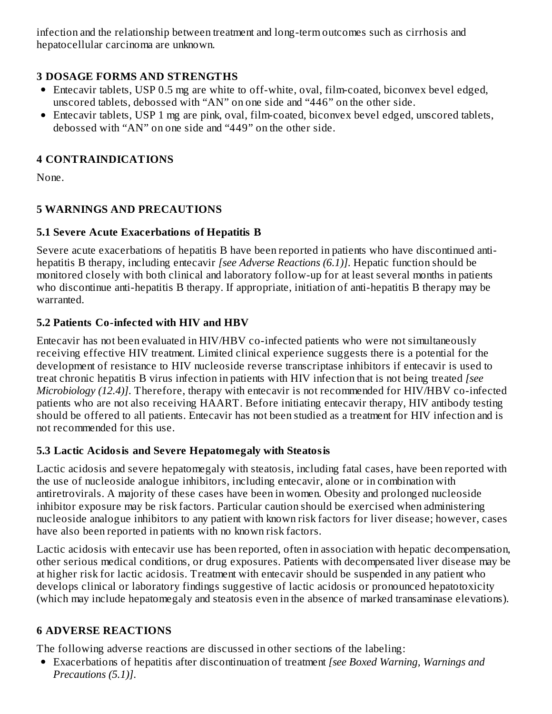infection and the relationship between treatment and long-term outcomes such as cirrhosis and hepatocellular carcinoma are unknown.

## **3 DOSAGE FORMS AND STRENGTHS**

- Entecavir tablets, USP 0.5 mg are white to off-white, oval, film-coated, biconvex bevel edged, unscored tablets, debossed with "AN" on one side and "446" on the other side.
- Entecavir tablets, USP 1 mg are pink, oval, film-coated, biconvex bevel edged, unscored tablets, debossed with "AN" on one side and "449" on the other side.

## **4 CONTRAINDICATIONS**

None.

## **5 WARNINGS AND PRECAUTIONS**

## **5.1 Severe Acute Exacerbations of Hepatitis B**

Severe acute exacerbations of hepatitis B have been reported in patients who have discontinued antihepatitis B therapy, including entecavir *[see Adverse Reactions (6.1)]*. Hepatic function should be monitored closely with both clinical and laboratory follow-up for at least several months in patients who discontinue anti-hepatitis B therapy. If appropriate, initiation of anti-hepatitis B therapy may be warranted.

## **5.2 Patients Co-infected with HIV and HBV**

Entecavir has not been evaluated in HIV/HBV co-infected patients who were not simultaneously receiving effective HIV treatment. Limited clinical experience suggests there is a potential for the development of resistance to HIV nucleoside reverse transcriptase inhibitors if entecavir is used to treat chronic hepatitis B virus infection in patients with HIV infection that is not being treated *[see Microbiology (12.4)]*. Therefore, therapy with entecavir is not recommended for HIV/HBV co-infected patients who are not also receiving HAART. Before initiating entecavir therapy, HIV antibody testing should be offered to all patients. Entecavir has not been studied as a treatment for HIV infection and is not recommended for this use.

## **5.3 Lactic Acidosis and Severe Hepatomegaly with Steatosis**

Lactic acidosis and severe hepatomegaly with steatosis, including fatal cases, have been reported with the use of nucleoside analogue inhibitors, including entecavir, alone or in combination with antiretrovirals. A majority of these cases have been in women. Obesity and prolonged nucleoside inhibitor exposure may be risk factors. Particular caution should be exercised when administering nucleoside analogue inhibitors to any patient with known risk factors for liver disease; however, cases have also been reported in patients with no known risk factors.

Lactic acidosis with entecavir use has been reported, often in association with hepatic decompensation, other serious medical conditions, or drug exposures. Patients with decompensated liver disease may be at higher risk for lactic acidosis. Treatment with entecavir should be suspended in any patient who develops clinical or laboratory findings suggestive of lactic acidosis or pronounced hepatotoxicity (which may include hepatomegaly and steatosis even in the absence of marked transaminase elevations).

## **6 ADVERSE REACTIONS**

The following adverse reactions are discussed in other sections of the labeling:

Exacerbations of hepatitis after discontinuation of treatment *[see Boxed Warning, Warnings and Precautions (5.1)]*.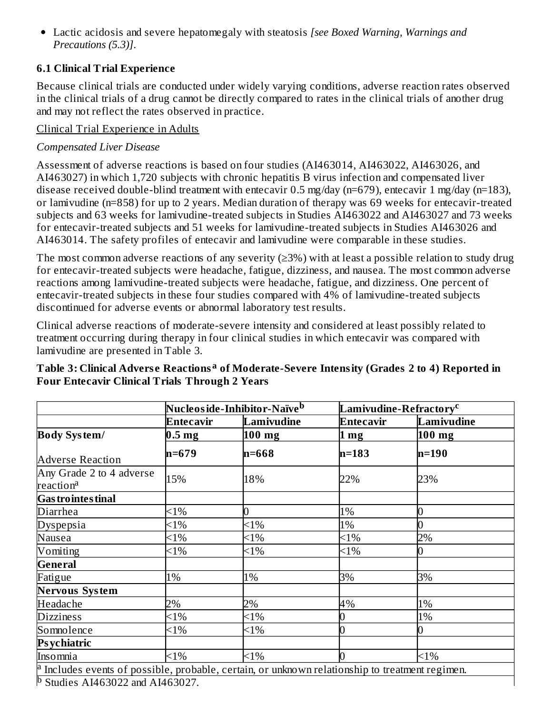Lactic acidosis and severe hepatomegaly with steatosis *[see Boxed Warning, Warnings and Precautions (5.3)]*.

## **6.1 Clinical Trial Experience**

Because clinical trials are conducted under widely varying conditions, adverse reaction rates observed in the clinical trials of a drug cannot be directly compared to rates in the clinical trials of another drug and may not reflect the rates observed in practice.

#### Clinical Trial Experience in Adults

## *Compensated Liver Disease*

Assessment of adverse reactions is based on four studies (AI463014, AI463022, AI463026, and AI463027) in which 1,720 subjects with chronic hepatitis B virus infection and compensated liver disease received double-blind treatment with entecavir 0.5 mg/day (n=679), entecavir 1 mg/day (n=183), or lamivudine (n=858) for up to 2 years. Median duration of therapy was 69 weeks for entecavir-treated subjects and 63 weeks for lamivudine-treated subjects in Studies AI463022 and AI463027 and 73 weeks for entecavir-treated subjects and 51 weeks for lamivudine-treated subjects in Studies AI463026 and AI463014. The safety profiles of entecavir and lamivudine were comparable in these studies.

The most common adverse reactions of any severity  $(\geq 3\%)$  with at least a possible relation to study drug for entecavir-treated subjects were headache, fatigue, dizziness, and nausea. The most common adverse reactions among lamivudine-treated subjects were headache, fatigue, and dizziness. One percent of entecavir-treated subjects in these four studies compared with 4% of lamivudine-treated subjects discontinued for adverse events or abnormal laboratory test results.

Clinical adverse reactions of moderate-severe intensity and considered at least possibly related to treatment occurring during therapy in four clinical studies in which entecavir was compared with lamivudine are presented in Table 3.

|                                                   | Nucleos ide-Inhibitor-Naïve <sup>b</sup> |            | Lamivudine-Refractory <sup>c</sup> |            |
|---------------------------------------------------|------------------------------------------|------------|------------------------------------|------------|
|                                                   | Entecavir                                | Lamivudine | Entecavir                          | Lamivudine |
| <b>Body System/</b>                               | 0.5 <sub>mg</sub>                        | $100$ mg   | $1 \text{ mg}$                     | $100$ mg   |
| <b>Adverse Reaction</b>                           | $n=679$                                  | n=668      | $n=183$                            | $n=190$    |
| Any Grade 2 to 4 adverse<br>reaction <sup>a</sup> | 15%                                      | 18%        | 22%                                | 23%        |
| <b>Gas trointes tinal</b>                         |                                          |            |                                    |            |
| Diarrhea                                          | $<1\%$                                   |            | 1%                                 | $\bf{0}$   |
| Dyspepsia                                         | $<$ 1%                                   | $<$ 1%     | 1%                                 | 0          |
| Nausea                                            | $< 1\%$                                  | $<1\%$     | $<1\%$                             | 2%         |
| Vomiting                                          | $<$ 1%                                   | $<$ 1%     | $<1\%$                             | 10         |
| <b>General</b>                                    |                                          |            |                                    |            |
| Fatigue                                           | 1%                                       | 1%         | 3%                                 | 3%         |
| <b>Nervous System</b>                             |                                          |            |                                    |            |
| Headache                                          | 2%                                       | 2%         | 4%                                 | 1%         |
| <b>Dizziness</b>                                  | $<$ 1%                                   | $<$ 1%     | 0                                  | 1%         |
| Somnolence                                        | $<1\%$                                   | $<1\%$     | 0                                  | $\bf{0}$   |
| <b>Psychiatric</b>                                |                                          |            |                                    |            |
| Insomnia                                          | $<1\%$                                   | $<1\%$     | $\overline{0}$                     | $<1\%$     |

## **Table 3: Clinical Advers e Reactions of Moderate-Severe Intensity (Grades 2 to 4) Reported in a Four Entecavir Clinical Trials Through 2 Years**

Includes events of possible, probable, certain, or unknown relationship to treatment regimen. Studies AI463022 and AI463027. a b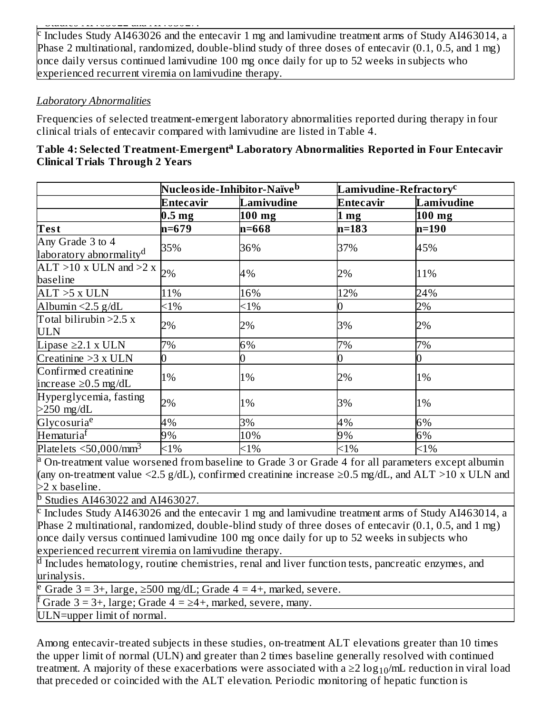Studies AI463022 and AI463027.

Includes Study AI463026 and the entecavir 1 mg and lamivudine treatment arms of Study AI463014, a Phase 2 multinational, randomized, double-blind study of three doses of entecavir (0.1, 0.5, and 1 mg) once daily versus continued lamivudine 100 mg once daily for up to 52 weeks in subjects who experienced recurrent viremia on lamivudine therapy. c

#### *Laboratory Abnormalities*

Frequencies of selected treatment-emergent laboratory abnormalities reported during therapy in four clinical trials of entecavir compared with lamivudine are listed in Table 4.

| Table 4: Selected Treatment-Emergent <sup>a</sup> Laboratory Abnormalities Reported in Four Entecavir |  |
|-------------------------------------------------------------------------------------------------------|--|
| Clinical Trials Through 2 Years                                                                       |  |

|                                                         | Nucleos ide-Inhibitor-Naïve <sup>b</sup> |            | ${\rm L}$ amivudine-Refractory $^{\rm c}$ |            |
|---------------------------------------------------------|------------------------------------------|------------|-------------------------------------------|------------|
|                                                         | Entecavir                                | Lamivudine | Entecavir                                 | Lamivudine |
|                                                         | 0.5 <sub>mg</sub>                        | $100$ mg   | 1 <sub>mg</sub>                           | $100$ mg   |
| Test                                                    | $n=679$                                  | n=668      | $n=183$                                   | $n=190$    |
| Any Grade 3 to 4<br>laboratory abnormality <sup>d</sup> | 35%                                      | 36%        | 37%                                       | 45%        |
| $ALT > 10$ x ULN and $>2$ x<br>baseline                 | 2%                                       | 4%         | 2%                                        | 11%        |
| $ALT > 5$ x $ULN$                                       | 11%                                      | 16%        | 12%                                       | 24%        |
| Albumin < $2.5$ g/dL                                    | $<1\%$                                   | $<1\%$     |                                           | 2%         |
| Total bilirubin $>2.5$ x<br><b>ULN</b>                  | 2%                                       | 2%         | 3%                                        | 2%         |
| Lipase $\geq$ 2.1 x ULN                                 | 7%                                       | 6%         | 7%                                        | 7%         |
| Creatinine $>3 x$ ULN                                   |                                          | 0          | 0                                         | 10         |
| Confirmed creatinine<br>increase $\geq$ 0.5 mg/dL       | 1%                                       | 1%         | 2%                                        | 1%         |
| Hyperglycemia, fasting<br>$>250$ mg/dL                  | 2%                                       | 1%         | 3%                                        | 1%         |
| Glycosuria <sup>e</sup>                                 | 4%                                       | 3%         | 4%                                        | 6%         |
| Hematuria <sup>f</sup>                                  | 9%                                       | 10%        | 9%                                        | 6%         |
| Platelets $\leq$ 50,000/mm <sup>3</sup>                 | $<1\%$                                   | $<1\%$     | $<1\%$                                    | $<1\%$     |

<sup>a</sup> On-treatment value worsened from baseline to Grade 3 or Grade 4 for all parameters except albumin (any on-treatment value <2.5 g/dL), confirmed creatinine increase  $\geq$ 0.5 mg/dL, and ALT >10 x ULN and >2 x baseline.

Studies AI463022 and AI463027. b

<sup>c</sup> Includes Study AI463026 and the entecavir 1 mg and lamivudine treatment arms of Study AI463014, a Phase 2 multinational, randomized, double-blind study of three doses of entecavir (0.1, 0.5, and 1 mg) once daily versus continued lamivudine 100 mg once daily for up to 52 weeks in subjects who experienced recurrent viremia on lamivudine therapy.

 $^{\rm d}$  Includes hematology, routine chemistries, renal and liver function tests, pancreatic enzymes, and urinalysis.

Grade  $3 = 3+$ , large,  $\geq 500$  mg/dL; Grade  $4 = 4+$ , marked, severe. e

Grade  $3 = 3+$ , large; Grade  $4 = \ge 4+$ , marked, severe, many. f

ULN=upper limit of normal.

Among entecavir-treated subjects in these studies, on-treatment ALT elevations greater than 10 times the upper limit of normal (ULN) and greater than 2 times baseline generally resolved with continued treatment. A majority of these exacerbations were associated with a ≥2  $\log_{10}/$ mL reduction in viral load that preceded or coincided with the ALT elevation. Periodic monitoring of hepatic function is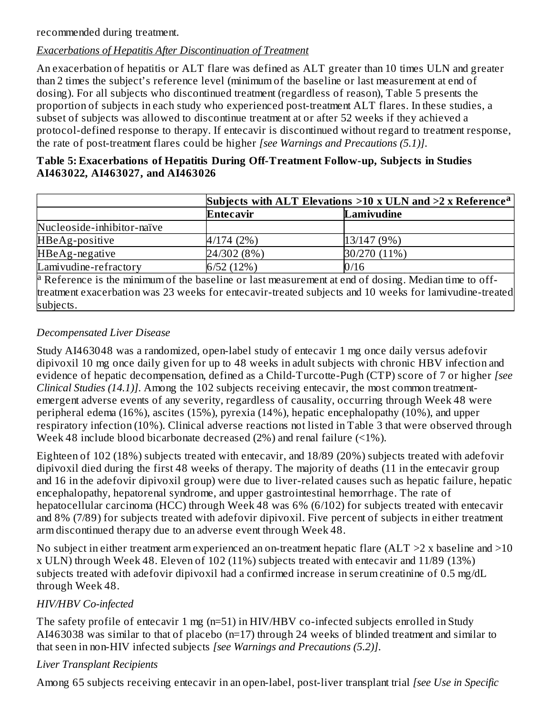recommended during treatment.

## *Exacerbations of Hepatitis After Discontinuation of Treatment*

An exacerbation of hepatitis or ALT flare was defined as ALT greater than 10 times ULN and greater than 2 times the subject's reference level (minimum of the baseline or last measurement at end of dosing). For all subjects who discontinued treatment (regardless of reason), Table 5 presents the proportion of subjects in each study who experienced post-treatment ALT flares. In these studies, a subset of subjects was allowed to discontinue treatment at or after 52 weeks if they achieved a protocol-defined response to therapy. If entecavir is discontinued without regard to treatment response, the rate of post-treatment flares could be higher *[see Warnings and Precautions (5.1)]*.

|                                  | Table 5: Exacerbations of Hepatitis During Off-Treatment Follow-up, Subjects in Studies |
|----------------------------------|-----------------------------------------------------------------------------------------|
| AI463022, AI463027, and AI463026 |                                                                                         |

|                            | Subjects with ALT Elevations $>10$ x ULN and $>2$ x Reference <sup>a</sup> |                                                                                                                 |  |
|----------------------------|----------------------------------------------------------------------------|-----------------------------------------------------------------------------------------------------------------|--|
|                            | <b>Entecavir</b>                                                           | Lamivudine                                                                                                      |  |
| Nucleoside-inhibitor-naïve |                                                                            |                                                                                                                 |  |
| HBeAg-positive             | 4/174(2%)                                                                  | 13/147(9%)                                                                                                      |  |
| HBeAg-negative             | 24/302 (8%)                                                                | 30/270 (11%)                                                                                                    |  |
| Lamivudine-refractory      | 6/52(12%)                                                                  | 0/16                                                                                                            |  |
|                            |                                                                            | <sup>a</sup> Reference is the minimum of the baseline or last measurement at end of dosing. Median time to off- |  |
|                            |                                                                            | treatment exacerbation was 23 weeks for entecavir-treated subjects and 10 weeks for lamivudine-treated          |  |

#### *Decompensated Liver Disease*

subjects.

Study AI463048 was a randomized, open-label study of entecavir 1 mg once daily versus adefovir dipivoxil 10 mg once daily given for up to 48 weeks in adult subjects with chronic HBV infection and evidence of hepatic decompensation, defined as a Child-Turcotte-Pugh (CTP) score of 7 or higher *[see Clinical Studies (14.1)]*. Among the 102 subjects receiving entecavir, the most common treatmentemergent adverse events of any severity, regardless of causality, occurring through Week 48 were peripheral edema (16%), ascites (15%), pyrexia (14%), hepatic encephalopathy (10%), and upper respiratory infection (10%). Clinical adverse reactions not listed in Table 3 that were observed through Week 48 include blood bicarbonate decreased (2%) and renal failure (<1%).

Eighteen of 102 (18%) subjects treated with entecavir, and 18/89 (20%) subjects treated with adefovir dipivoxil died during the first 48 weeks of therapy. The majority of deaths (11 in the entecavir group and 16 in the adefovir dipivoxil group) were due to liver-related causes such as hepatic failure, hepatic encephalopathy, hepatorenal syndrome, and upper gastrointestinal hemorrhage. The rate of hepatocellular carcinoma (HCC) through Week 48 was 6% (6/102) for subjects treated with entecavir and 8% (7/89) for subjects treated with adefovir dipivoxil. Five percent of subjects in either treatment arm discontinued therapy due to an adverse event through Week 48.

No subject in either treatment arm experienced an on-treatment hepatic flare (ALT  $>2$  x baseline and  $>10$ x ULN) through Week 48. Eleven of 102 (11%) subjects treated with entecavir and 11/89 (13%) subjects treated with adefovir dipivoxil had a confirmed increase in serum creatinine of 0.5 mg/dL through Week 48.

#### *HIV/HBV Co-infected*

The safety profile of entecavir 1 mg (n=51) in HIV/HBV co-infected subjects enrolled in Study AI463038 was similar to that of placebo (n=17) through 24 weeks of blinded treatment and similar to that seen in non-HIV infected subjects *[see Warnings and Precautions (5.2)]*.

#### *Liver Transplant Recipients*

Among 65 subjects receiving entecavir in an open-label, post-liver transplant trial *[see Use in Specific*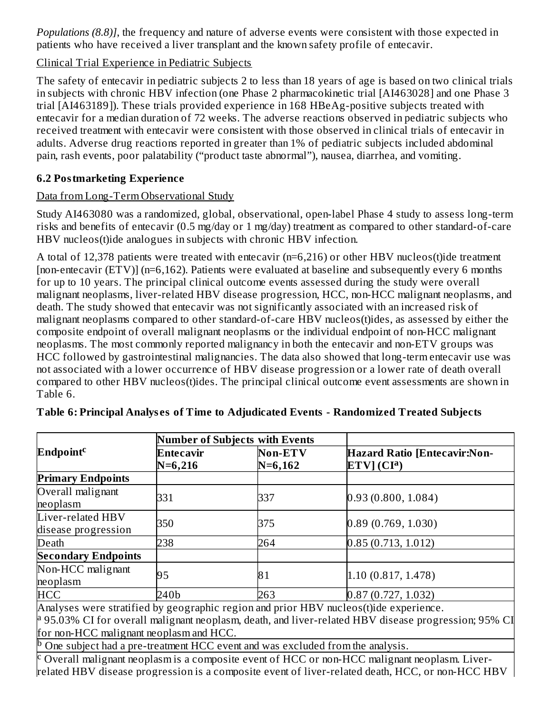*Populations (8.8)]*, the frequency and nature of adverse events were consistent with those expected in patients who have received a liver transplant and the known safety profile of entecavir.

## Clinical Trial Experience in Pediatric Subjects

The safety of entecavir in pediatric subjects 2 to less than 18 years of age is based on two clinical trials in subjects with chronic HBV infection (one Phase 2 pharmacokinetic trial [AI463028] and one Phase 3 trial [AI463189]). These trials provided experience in 168 HBeAg-positive subjects treated with entecavir for a median duration of 72 weeks. The adverse reactions observed in pediatric subjects who received treatment with entecavir were consistent with those observed in clinical trials of entecavir in adults. Adverse drug reactions reported in greater than 1% of pediatric subjects included abdominal pain, rash events, poor palatability ("product taste abnormal"), nausea, diarrhea, and vomiting.

## **6.2 Postmarketing Experience**

## Data from Long-Term Observational Study

Study AI463080 was a randomized, global, observational, open-label Phase 4 study to assess long-term risks and benefits of entecavir (0.5 mg/day or 1 mg/day) treatment as compared to other standard-of-care HBV nucleos(t)ide analogues in subjects with chronic HBV infection.

A total of 12,378 patients were treated with entecavir (n=6,216) or other HBV nucleos(t)ide treatment [non-entecavir (ETV)] (n=6,162). Patients were evaluated at baseline and subsequently every 6 months for up to 10 years. The principal clinical outcome events assessed during the study were overall malignant neoplasms, liver-related HBV disease progression, HCC, non-HCC malignant neoplasms, and death. The study showed that entecavir was not significantly associated with an increased risk of malignant neoplasms compared to other standard-of-care HBV nucleos(t)ides, as assessed by either the composite endpoint of overall malignant neoplasms or the individual endpoint of non-HCC malignant neoplasms. The most commonly reported malignancy in both the entecavir and non-ETV groups was HCC followed by gastrointestinal malignancies. The data also showed that long-term entecavir use was not associated with a lower occurrence of HBV disease progression or a lower rate of death overall compared to other HBV nucleos(t)ides. The principal clinical outcome event assessments are shown in Table 6.

| Entecavir<br>$N=6,216$ | <b>Non-ETV</b><br>$N=6,162$ | <b>Hazard Ratio [Entecavir:Non-</b><br>ETV] (CI <sup>a</sup> )                                                                                                                |
|------------------------|-----------------------------|-------------------------------------------------------------------------------------------------------------------------------------------------------------------------------|
|                        |                             |                                                                                                                                                                               |
| 331                    | 337                         | 0.93(0.800, 1.084)                                                                                                                                                            |
| 350                    | 375                         | 0.89(0.769, 1.030)                                                                                                                                                            |
| 238                    | 264                         | 0.85(0.713, 1.012)                                                                                                                                                            |
|                        |                             |                                                                                                                                                                               |
| 95                     | 81                          | 1.10 (0.817, 1.478)                                                                                                                                                           |
| 240b                   | 263                         | 0.87(0.727, 1.032)                                                                                                                                                            |
|                        | $\cdots$                    | Number of Subjects with Events<br>$\cdot$ $\cdot$ $\cdot$ $\cdot$ $\cdot$ $\cdot$ $\cdot$<br>$\mathbf{1}$ $\mathbf{2}$ $\mathbf{3}$ $\mathbf{1}$ $\mathbf{3}$<br>$\mathbf{1}$ |

#### **Table 6: Principal Analys es of Time to Adjudicated Events - Randomized Treated Subjects**

Analyses were stratified by geographic region and prior HBV nucleos(t)ide experience. <sup>a</sup> 95.03% CI for overall malignant neoplasm, death, and liver-related HBV disease progression; 95% CI for non-HCC malignant neoplasm and HCC.

One subject had a pre-treatment HCC event and was excluded from the analysis. b

Overall malignant neoplasm is a composite event of HCC or non-HCC malignant neoplasm. Liverrelated HBV disease progression is a composite event of liver-related death, HCC, or non-HCC HBV c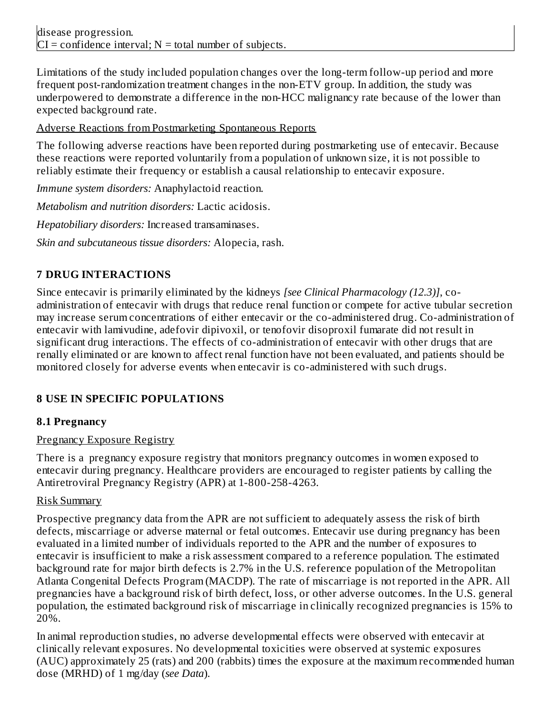Limitations of the study included population changes over the long-term follow-up period and more frequent post-randomization treatment changes in the non-ETV group. In addition, the study was underpowered to demonstrate a difference in the non-HCC malignancy rate because of the lower than expected background rate.

Adverse Reactions from Postmarketing Spontaneous Reports

The following adverse reactions have been reported during postmarketing use of entecavir. Because these reactions were reported voluntarily from a population of unknown size, it is not possible to reliably estimate their frequency or establish a causal relationship to entecavir exposure.

*Immune system disorders:* Anaphylactoid reaction.

*Metabolism and nutrition disorders:* Lactic acidosis.

*Hepatobiliary disorders:* Increased transaminases.

*Skin and subcutaneous tissue disorders:* Alopecia, rash.

# **7 DRUG INTERACTIONS**

Since entecavir is primarily eliminated by the kidneys *[see Clinical Pharmacology (12.3)]*, coadministration of entecavir with drugs that reduce renal function or compete for active tubular secretion may increase serum concentrations of either entecavir or the co-administered drug. Co-administration of entecavir with lamivudine, adefovir dipivoxil, or tenofovir disoproxil fumarate did not result in significant drug interactions. The effects of co-administration of entecavir with other drugs that are renally eliminated or are known to affect renal function have not been evaluated, and patients should be monitored closely for adverse events when entecavir is co-administered with such drugs.

# **8 USE IN SPECIFIC POPULATIONS**

## **8.1 Pregnancy**

## Pregnancy Exposure Registry

There is a pregnancy exposure registry that monitors pregnancy outcomes in women exposed to entecavir during pregnancy. Healthcare providers are encouraged to register patients by calling the Antiretroviral Pregnancy Registry (APR) at 1-800-258-4263.

## Risk Summary

Prospective pregnancy data from the APR are not sufficient to adequately assess the risk of birth defects, miscarriage or adverse maternal or fetal outcomes. Entecavir use during pregnancy has been evaluated in a limited number of individuals reported to the APR and the number of exposures to entecavir is insufficient to make a risk assessment compared to a reference population. The estimated background rate for major birth defects is 2.7% in the U.S. reference population of the Metropolitan Atlanta Congenital Defects Program (MACDP). The rate of miscarriage is not reported in the APR. All pregnancies have a background risk of birth defect, loss, or other adverse outcomes. In the U.S. general population, the estimated background risk of miscarriage in clinically recognized pregnancies is 15% to 20%.

In animal reproduction studies, no adverse developmental effects were observed with entecavir at clinically relevant exposures. No developmental toxicities were observed at systemic exposures (AUC) approximately 25 (rats) and 200 (rabbits) times the exposure at the maximum recommended human dose (MRHD) of 1 mg/day (*see Data*).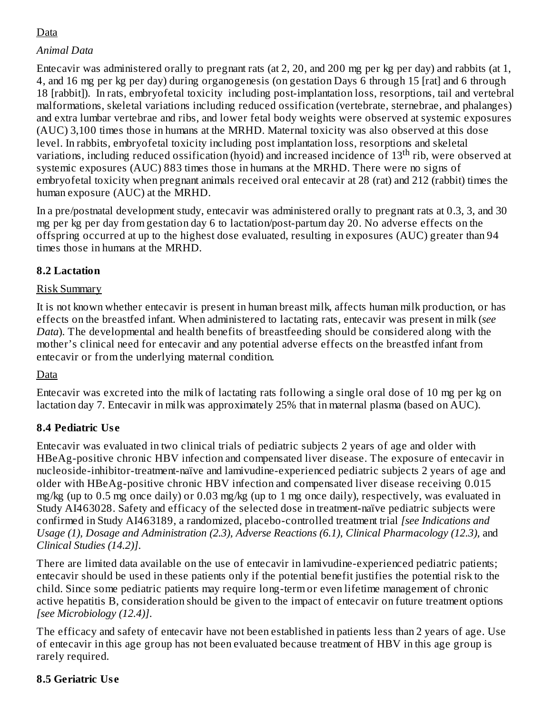## Data

## *Animal Data*

Entecavir was administered orally to pregnant rats (at 2, 20, and 200 mg per kg per day) and rabbits (at 1, 4, and 16 mg per kg per day) during organogenesis (on gestation Days 6 through 15 [rat] and 6 through 18 [rabbit]). In rats, embryofetal toxicity including post-implantation loss, resorptions, tail and vertebral malformations, skeletal variations including reduced ossification (vertebrate, sternebrae, and phalanges) and extra lumbar vertebrae and ribs, and lower fetal body weights were observed at systemic exposures (AUC) 3,100 times those in humans at the MRHD. Maternal toxicity was also observed at this dose level. In rabbits, embryofetal toxicity including post implantation loss, resorptions and skeletal variations, including reduced ossification (hyoid) and increased incidence of  $13^{\text{th}}$  rib, were observed at systemic exposures (AUC) 883 times those in humans at the MRHD. There were no signs of embryofetal toxicity when pregnant animals received oral entecavir at 28 (rat) and 212 (rabbit) times the human exposure (AUC) at the MRHD.

In a pre/postnatal development study, entecavir was administered orally to pregnant rats at 0.3, 3, and 30 mg per kg per day from gestation day 6 to lactation/post-partum day 20. No adverse effects on the offspring occurred at up to the highest dose evaluated, resulting in exposures (AUC) greater than 94 times those in humans at the MRHD.

#### **8.2 Lactation**

## Risk Summary

It is not known whether entecavir is present in human breast milk, affects human milk production, or has effects on the breastfed infant. When administered to lactating rats, entecavir was present in milk (*see Data*). The developmental and health benefits of breastfeeding should be considered along with the mother's clinical need for entecavir and any potential adverse effects on the breastfed infant from entecavir or from the underlying maternal condition*.*

#### Data

Entecavir was excreted into the milk of lactating rats following a single oral dose of 10 mg per kg on lactation day 7. Entecavir in milk was approximately 25% that in maternal plasma (based on AUC).

## **8.4 Pediatric Us e**

Entecavir was evaluated in two clinical trials of pediatric subjects 2 years of age and older with HBeAg-positive chronic HBV infection and compensated liver disease. The exposure of entecavir in nucleoside-inhibitor-treatment-naïve and lamivudine-experienced pediatric subjects 2 years of age and older with HBeAg-positive chronic HBV infection and compensated liver disease receiving 0.015 mg/kg (up to 0.5 mg once daily) or 0.03 mg/kg (up to 1 mg once daily), respectively, was evaluated in Study AI463028. Safety and efficacy of the selected dose in treatment-naïve pediatric subjects were confirmed in Study AI463189, a randomized, placebo-controlled treatment trial *[see Indications and Usage (1), Dosage and Administration (2.3), Adverse Reactions (6.1), Clinical Pharmacology (12.3),* and *Clinical Studies (14.2)]*.

There are limited data available on the use of entecavir in lamivudine-experienced pediatric patients; entecavir should be used in these patients only if the potential benefit justifies the potential risk to the child. Since some pediatric patients may require long-term or even lifetime management of chronic active hepatitis B, consideration should be given to the impact of entecavir on future treatment options *[see Microbiology (12.4)]*.

The efficacy and safety of entecavir have not been established in patients less than 2 years of age. Use of entecavir in this age group has not been evaluated because treatment of HBV in this age group is rarely required.

## **8.5 Geriatric Us e**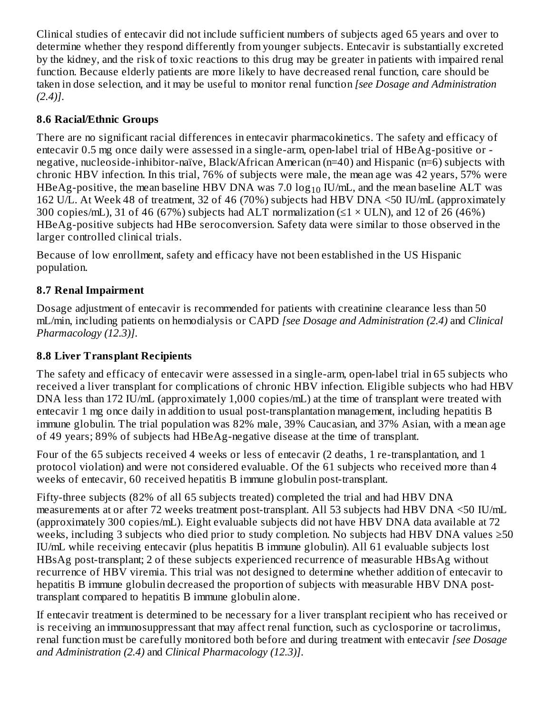Clinical studies of entecavir did not include sufficient numbers of subjects aged 65 years and over to determine whether they respond differently from younger subjects. Entecavir is substantially excreted by the kidney, and the risk of toxic reactions to this drug may be greater in patients with impaired renal function. Because elderly patients are more likely to have decreased renal function, care should be taken in dose selection, and it may be useful to monitor renal function *[see Dosage and Administration (2.4)]*.

## **8.6 Racial/Ethnic Groups**

There are no significant racial differences in entecavir pharmacokinetics. The safety and efficacy of entecavir 0.5 mg once daily were assessed in a single-arm, open-label trial of HBeAg-positive or negative, nucleoside-inhibitor-naïve, Black/African American (n=40) and Hispanic (n=6) subjects with chronic HBV infection. In this trial, 76% of subjects were male, the mean age was 42 years, 57% were HBeAg-positive, the mean baseline HBV DNA was 7.0  $\log_{10}$  IU/mL, and the mean baseline ALT was 162 U/L. At Week 48 of treatment, 32 of 46 (70%) subjects had HBV DNA <50 IU/mL (approximately 300 copies/mL), 31 of 46 (67%) subjects had ALT normalization ( $\leq$ 1 × ULN), and 12 of 26 (46%) HBeAg-positive subjects had HBe seroconversion. Safety data were similar to those observed in the larger controlled clinical trials.

Because of low enrollment, safety and efficacy have not been established in the US Hispanic population.

## **8.7 Renal Impairment**

Dosage adjustment of entecavir is recommended for patients with creatinine clearance less than 50 mL/min, including patients on hemodialysis or CAPD *[see Dosage and Administration (2.4)* and *Clinical Pharmacology (12.3)]*.

## **8.8 Liver Transplant Recipients**

The safety and efficacy of entecavir were assessed in a single-arm, open-label trial in 65 subjects who received a liver transplant for complications of chronic HBV infection. Eligible subjects who had HBV DNA less than 172 IU/mL (approximately 1,000 copies/mL) at the time of transplant were treated with entecavir 1 mg once daily in addition to usual post-transplantation management, including hepatitis B immune globulin. The trial population was 82% male, 39% Caucasian, and 37% Asian, with a mean age of 49 years; 89% of subjects had HBeAg-negative disease at the time of transplant.

Four of the 65 subjects received 4 weeks or less of entecavir (2 deaths, 1 re-transplantation, and 1 protocol violation) and were not considered evaluable. Of the 61 subjects who received more than 4 weeks of entecavir, 60 received hepatitis B immune globulin post-transplant.

Fifty-three subjects (82% of all 65 subjects treated) completed the trial and had HBV DNA measurements at or after 72 weeks treatment post-transplant. All 53 subjects had HBV DNA <50 IU/mL (approximately 300 copies/mL). Eight evaluable subjects did not have HBV DNA data available at 72 weeks, including 3 subjects who died prior to study completion. No subjects had HBV DNA values ≥50 IU/mL while receiving entecavir (plus hepatitis B immune globulin). All 61 evaluable subjects lost HBsAg post-transplant; 2 of these subjects experienced recurrence of measurable HBsAg without recurrence of HBV viremia. This trial was not designed to determine whether addition of entecavir to hepatitis B immune globulin decreased the proportion of subjects with measurable HBV DNA posttransplant compared to hepatitis B immune globulin alone.

If entecavir treatment is determined to be necessary for a liver transplant recipient who has received or is receiving an immunosuppressant that may affect renal function, such as cyclosporine or tacrolimus, renal function must be carefully monitored both before and during treatment with entecavir *[see Dosage and Administration (2.4)* and *Clinical Pharmacology (12.3)]*.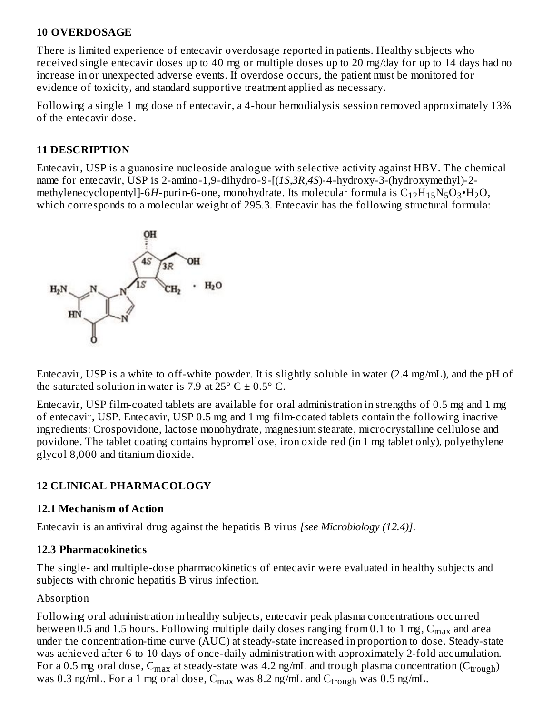#### **10 OVERDOSAGE**

There is limited experience of entecavir overdosage reported in patients. Healthy subjects who received single entecavir doses up to 40 mg or multiple doses up to 20 mg/day for up to 14 days had no increase in or unexpected adverse events. If overdose occurs, the patient must be monitored for evidence of toxicity, and standard supportive treatment applied as necessary.

Following a single 1 mg dose of entecavir, a 4-hour hemodialysis session removed approximately 13% of the entecavir dose.

## **11 DESCRIPTION**

Entecavir, USP is a guanosine nucleoside analogue with selective activity against HBV. The chemical name for entecavir, USP is 2-amino-1,9-dihydro-9-[(*1S,3R,4S*)-4-hydroxy-3-(hydroxymethyl)-2 methylenecyclopentyl]-6H-purin-6-one, monohydrate. Its molecular formula is  $\rm{C}_{12}\rm{H}_{15}\rm{N}_{5}\rm{O}_{3}$ • $\rm{H}_{2}\rm{O},$ which corresponds to a molecular weight of 295.3. Entecavir has the following structural formula:



Entecavir, USP is a white to off-white powder. It is slightly soluble in water (2.4 mg/mL), and the pH of the saturated solution in water is 7.9 at  $25^{\circ}$  C  $\pm$  0.5° C.

Entecavir, USP film-coated tablets are available for oral administration in strengths of 0.5 mg and 1 mg of entecavir, USP. Entecavir, USP 0.5 mg and 1 mg film-coated tablets contain the following inactive ingredients: Crospovidone, lactose monohydrate, magnesium stearate, microcrystalline cellulose and povidone. The tablet coating contains hypromellose, iron oxide red (in 1 mg tablet only), polyethylene glycol 8,000 and titanium dioxide.

## **12 CLINICAL PHARMACOLOGY**

#### **12.1 Mechanism of Action**

Entecavir is an antiviral drug against the hepatitis B virus *[see Microbiology (12.4)]*.

#### **12.3 Pharmacokinetics**

The single- and multiple-dose pharmacokinetics of entecavir were evaluated in healthy subjects and subjects with chronic hepatitis B virus infection.

## Absorption

Following oral administration in healthy subjects, entecavir peak plasma concentrations occurred between 0.5 and 1.5 hours. Following multiple daily doses ranging from 0.1 to 1 mg,  $\rm{C_{max}}$  and area under the concentration-time curve (AUC) at steady-state increased in proportion to dose. Steady-state was achieved after 6 to 10 days of once-daily administration with approximately 2-fold accumulation. For a 0.5 mg oral dose,  $\rm{C_{max}}$  at steady-state was 4.2 ng/mL and trough plasma concentration ( $\rm{C_{trough}}$ ) was 0.3 ng/mL. For a 1 mg oral dose,  $C_{max}$  was 8.2 ng/mL and  $C_{trough}$  was 0.5 ng/mL.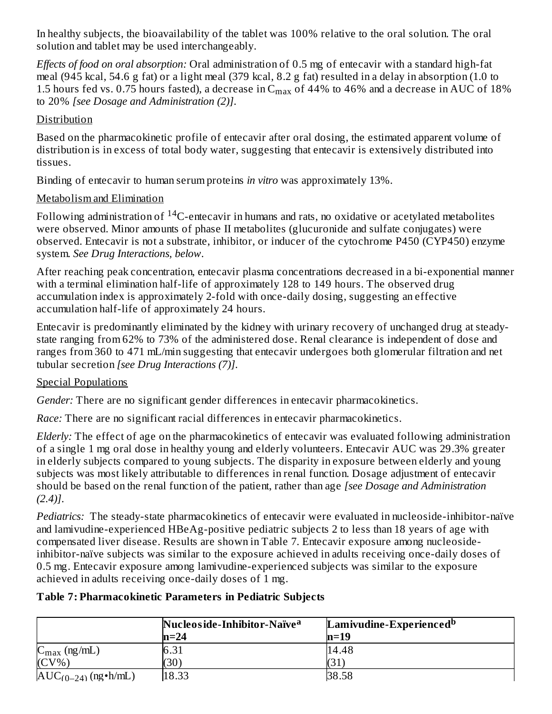In healthy subjects, the bioavailability of the tablet was 100% relative to the oral solution. The oral solution and tablet may be used interchangeably.

*Effects of food on oral absorption:* Oral administration of 0.5 mg of entecavir with a standard high-fat meal (945 kcal, 54.6 g fat) or a light meal (379 kcal, 8.2 g fat) resulted in a delay in absorption (1.0 to 1.5 hours fed vs. 0.75 hours fasted), a decrease in  $\rm{C_{max}}$  of 44% to 46% and a decrease in AUC of 18% to 20% *[see Dosage and Administration (2)]*.

## Distribution

Based on the pharmacokinetic profile of entecavir after oral dosing, the estimated apparent volume of distribution is in excess of total body water, suggesting that entecavir is extensively distributed into tissues.

Binding of entecavir to human serum proteins *in vitro* was approximately 13%.

## Metabolism and Elimination

Following administration of  $^{14}$ C-entecavir in humans and rats, no oxidative or acetylated metabolites were observed. Minor amounts of phase II metabolites (glucuronide and sulfate conjugates) were observed. Entecavir is not a substrate, inhibitor, or inducer of the cytochrome P450 (CYP450) enzyme system. *See Drug Interactions, below*.

After reaching peak concentration, entecavir plasma concentrations decreased in a bi-exponential manner with a terminal elimination half-life of approximately 128 to 149 hours. The observed drug accumulation index is approximately 2-fold with once-daily dosing, suggesting an effective accumulation half-life of approximately 24 hours.

Entecavir is predominantly eliminated by the kidney with urinary recovery of unchanged drug at steadystate ranging from 62% to 73% of the administered dose. Renal clearance is independent of dose and ranges from 360 to 471 mL/min suggesting that entecavir undergoes both glomerular filtration and net tubular secretion *[see Drug Interactions (7)]*.

## Special Populations

*Gender:* There are no significant gender differences in entecavir pharmacokinetics.

*Race:* There are no significant racial differences in entecavir pharmacokinetics.

*Elderly:* The effect of age on the pharmacokinetics of entecavir was evaluated following administration of a single 1 mg oral dose in healthy young and elderly volunteers. Entecavir AUC was 29.3% greater in elderly subjects compared to young subjects. The disparity in exposure between elderly and young subjects was most likely attributable to differences in renal function. Dosage adjustment of entecavir should be based on the renal function of the patient, rather than age *[see Dosage and Administration (2.4)]*.

*Pediatrics:* The steady-state pharmacokinetics of entecavir were evaluated in nucleoside-inhibitor-naïve and lamivudine-experienced HBeAg-positive pediatric subjects 2 to less than 18 years of age with compensated liver disease. Results are shown in Table 7. Entecavir exposure among nucleosideinhibitor-naïve subjects was similar to the exposure achieved in adults receiving once-daily doses of 0.5 mg. Entecavir exposure among lamivudine-experienced subjects was similar to the exposure achieved in adults receiving once-daily doses of 1 mg.

## **Table 7: Pharmacokinetic Parameters in Pediatric Subjects**

|                                    | Nucleoside-Inhibitor-Naïve <sup>a</sup> | Lamivudine-Experienced <sup>b</sup> |
|------------------------------------|-----------------------------------------|-------------------------------------|
|                                    | $ln=24$                                 | n=19                                |
| $\mathcal{L}_{\text{max}}$ (ng/mL) | 6.31                                    | 14.48                               |
| $(CV\%)$                           | (30)                                    | (31                                 |
| $AUC_{(0-24)}$ (ng • h/mL)         | 18.33                                   | 38.58                               |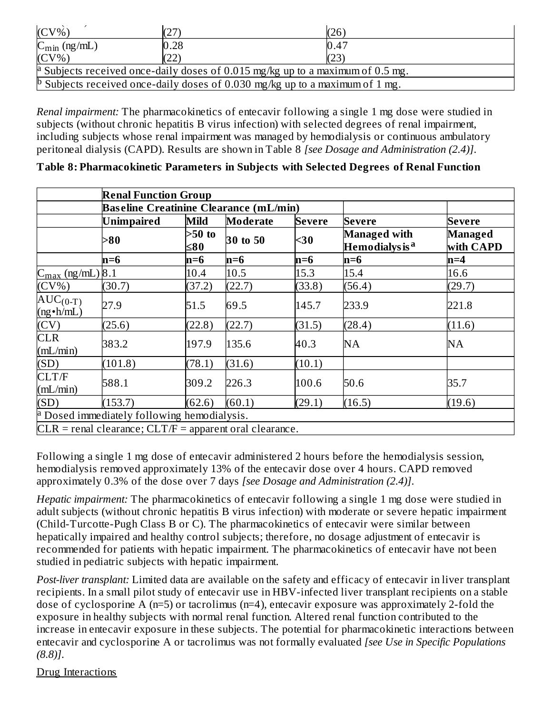| $(CV\%)$                 |      | (26)                                                                                      |
|--------------------------|------|-------------------------------------------------------------------------------------------|
| $C_{\text{min}}$ (ng/mL) | 0.28 | 0.47                                                                                      |
| $(CV\%)$                 | 22   | (23)                                                                                      |
|                          |      | <sup>a</sup> Subjects received once-daily doses of 0.015 mg/kg up to a maximum of 0.5 mg. |
|                          |      | <sup>p</sup> Subjects received once-daily doses of 0.030 mg/kg up to a maximum of 1 mg.   |

*Renal impairment:* The pharmacokinetics of entecavir following a single 1 mg dose were studied in subjects (without chronic hepatitis B virus infection) with selected degrees of renal impairment, including subjects whose renal impairment was managed by hemodialysis or continuous ambulatory peritoneal dialysis (CAPD). Results are shown in Table 8 *[see Dosage and Administration (2.4)]*.

|                                      | <b>Renal Function Group</b><br><b>Baseline Creatinine Clearance (mL/min)</b> |                 |          |        |                                                   |                      |
|--------------------------------------|------------------------------------------------------------------------------|-----------------|----------|--------|---------------------------------------------------|----------------------|
|                                      | <b>Unimpaired</b>                                                            | Mild            | Moderate | Severe | <b>Severe</b>                                     | <b>Severe</b>        |
|                                      | >80                                                                          | $>50$ to<br>≤80 | 30 to 50 | $30$   | <b>Managed with</b><br>Hemodialys is <sup>a</sup> | Managed<br>with CAPD |
|                                      | n=6                                                                          | n=6             | $ln=6$   | n=6    | n=6                                               | $n=4$                |
| $C_{\text{max}}$ (ng/mL) 8.1         |                                                                              | 10.4            | 10.5     | 15.3   | 15.4                                              | 16.6                 |
| $(CV\%)$                             | (30.7)                                                                       | (37.2)          | (22.7)   | (33.8) | (56.4)                                            | (29.7)               |
| $AUC_{(0-T)}$<br>(ng • h/mL)<br>(CV) | 27.9                                                                         | 51.5            | 69.5     | 145.7  | 233.9                                             | 221.8                |
|                                      | (25.6)                                                                       | (22.8)          | (22.7)   | (31.5) | (28.4)                                            | (11.6)               |
| <b>CLR</b><br>(mL/min)               | 383.2                                                                        | 197.9           | 135.6    | 40.3   | <b>NA</b>                                         | NA                   |
| (SD)                                 | (101.8)                                                                      | (78.1)          | (31.6)   | (10.1) |                                                   |                      |
| CLT/F<br>(mL/min)                    | 588.1                                                                        | 309.2           | 226.3    | 100.6  | 50.6                                              | 35.7                 |
| (SD)                                 | (153.7)                                                                      | (62.6)          | (60.1)   | (29.1) | (16.5)                                            | (19.6)               |
|                                      | <sup>a</sup> Dosed immediately following hemodialysis.                       |                 |          |        |                                                   |                      |
|                                      | $CLR$ = renal clearance; $CLT/F$ = apparent oral clearance.                  |                 |          |        |                                                   |                      |

#### **Table 8: Pharmacokinetic Parameters in Subjects with Selected Degrees of Renal Function**

Following a single 1 mg dose of entecavir administered 2 hours before the hemodialysis session, hemodialysis removed approximately 13% of the entecavir dose over 4 hours. CAPD removed approximately 0.3% of the dose over 7 days *[see Dosage and Administration (2.4)]*.

*Hepatic impairment:* The pharmacokinetics of entecavir following a single 1 mg dose were studied in adult subjects (without chronic hepatitis B virus infection) with moderate or severe hepatic impairment (Child-Turcotte-Pugh Class B or C). The pharmacokinetics of entecavir were similar between hepatically impaired and healthy control subjects; therefore, no dosage adjustment of entecavir is recommended for patients with hepatic impairment. The pharmacokinetics of entecavir have not been studied in pediatric subjects with hepatic impairment.

*Post-liver transplant:* Limited data are available on the safety and efficacy of entecavir in liver transplant recipients. In a small pilot study of entecavir use in HBV-infected liver transplant recipients on a stable dose of cyclosporine A (n=5) or tacrolimus (n=4), entecavir exposure was approximately 2-fold the exposure in healthy subjects with normal renal function. Altered renal function contributed to the increase in entecavir exposure in these subjects. The potential for pharmacokinetic interactions between entecavir and cyclosporine A or tacrolimus was not formally evaluated *[see Use in Specific Populations (8.8)]*.

Drug Interactions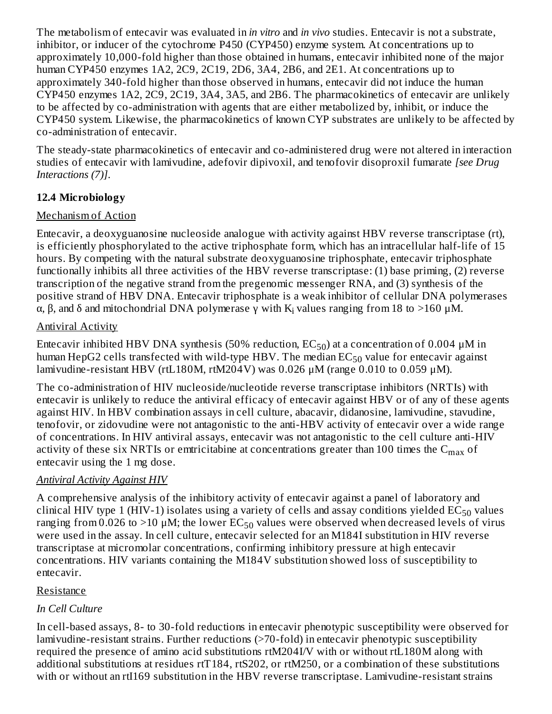The metabolism of entecavir was evaluated in *in vitro* and *in vivo* studies. Entecavir is not a substrate, inhibitor, or inducer of the cytochrome P450 (CYP450) enzyme system. At concentrations up to approximately 10,000-fold higher than those obtained in humans, entecavir inhibited none of the major human CYP450 enzymes 1A2, 2C9, 2C19, 2D6, 3A4, 2B6, and 2E1. At concentrations up to approximately 340-fold higher than those observed in humans, entecavir did not induce the human CYP450 enzymes 1A2, 2C9, 2C19, 3A4, 3A5, and 2B6. The pharmacokinetics of entecavir are unlikely to be affected by co-administration with agents that are either metabolized by, inhibit, or induce the CYP450 system. Likewise, the pharmacokinetics of known CYP substrates are unlikely to be affected by co-administration of entecavir.

The steady-state pharmacokinetics of entecavir and co-administered drug were not altered in interaction studies of entecavir with lamivudine, adefovir dipivoxil, and tenofovir disoproxil fumarate *[see Drug Interactions (7)]*.

## **12.4 Microbiology**

## Mechanism of Action

Entecavir, a deoxyguanosine nucleoside analogue with activity against HBV reverse transcriptase (rt), is efficiently phosphorylated to the active triphosphate form, which has an intracellular half-life of 15 hours. By competing with the natural substrate deoxyguanosine triphosphate, entecavir triphosphate functionally inhibits all three activities of the HBV reverse transcriptase: (1) base priming, (2) reverse transcription of the negative strand from the pregenomic messenger RNA, and (3) synthesis of the positive strand of HBV DNA. Entecavir triphosphate is a weak inhibitor of cellular DNA polymerases α, β, and δ and mitochondrial DNA polymerase  $\gamma$  with K<sub>i</sub> values ranging from 18 to >160 μM.

## Antiviral Activity

Entecavir inhibited HBV DNA synthesis (50% reduction,  $\text{EC}_{50}$ ) at a concentration of 0.004 µM in human HepG2 cells transfected with wild-type HBV. The median  $\mathrm{EC}_{50}$  value for entecavir against lamivudine-resistant HBV (rtL180M, rtM204V) was 0.026  $\mu$ M (range 0.010 to 0.059  $\mu$ M).

The co-administration of HIV nucleoside/nucleotide reverse transcriptase inhibitors (NRTIs) with entecavir is unlikely to reduce the antiviral efficacy of entecavir against HBV or of any of these agents against HIV. In HBV combination assays in cell culture, abacavir, didanosine, lamivudine, stavudine, tenofovir, or zidovudine were not antagonistic to the anti-HBV activity of entecavir over a wide range of concentrations. In HIV antiviral assays, entecavir was not antagonistic to the cell culture anti-HIV activity of these six NRTIs or emtricitabine at concentrations greater than  $100$  times the  $\rm{C_{max}}$  of entecavir using the 1 mg dose.

## *Antiviral Activity Against HIV*

A comprehensive analysis of the inhibitory activity of entecavir against a panel of laboratory and clinical HIV type 1 (HIV-1) isolates using a variety of cells and assay conditions yielded  $\mathrm{EC}_{50}$  values ranging from 0.026 to >10  $\mu$ M; the lower EC $_{50}$  values were observed when decreased levels of virus were used in the assay. In cell culture, entecavir selected for an M184I substitution in HIV reverse transcriptase at micromolar concentrations, confirming inhibitory pressure at high entecavir concentrations. HIV variants containing the M184V substitution showed loss of susceptibility to entecavir.

#### Resistance

## *In Cell Culture*

In cell-based assays, 8- to 30-fold reductions in entecavir phenotypic susceptibility were observed for lamivudine-resistant strains. Further reductions (>70-fold) in entecavir phenotypic susceptibility required the presence of amino acid substitutions rtM204I/V with or without rtL180M along with additional substitutions at residues rtT184, rtS202, or rtM250, or a combination of these substitutions with or without an rtI169 substitution in the HBV reverse transcriptase. Lamivudine-resistant strains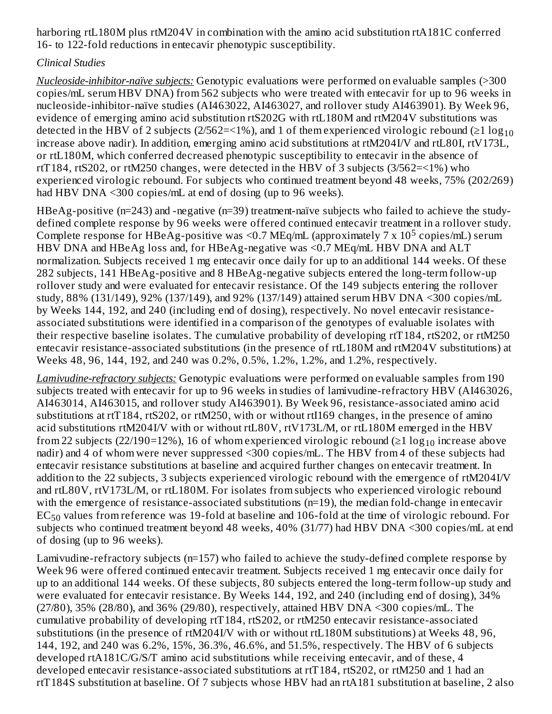harboring rtL180M plus rtM204V in combination with the amino acid substitution rtA181C conferred 16- to 122-fold reductions in entecavir phenotypic susceptibility.

## *Clinical Studies*

*Nucleoside-inhibitor-naïve subjects:* Genotypic evaluations were performed on evaluable samples (>300 copies/mL serum HBV DNA) from 562 subjects who were treated with entecavir for up to 96 weeks in nucleoside-inhibitor-naïve studies (AI463022, AI463027, and rollover study AI463901). By Week 96, evidence of emerging amino acid substitution rtS202G with rtL180M and rtM204V substitutions was detected in the HBV of 2 subjects (2/562=<1%), and 1 of them experienced virologic rebound (≥1  $\log_{10}$ increase above nadir). In addition, emerging amino acid substitutions at rtM204I/V and rtL80I, rtV173L, or rtL180M, which conferred decreased phenotypic susceptibility to entecavir in the absence of rtT184, rtS202, or rtM250 changes, were detected in the HBV of 3 subjects (3/562=<1%) who experienced virologic rebound. For subjects who continued treatment beyond 48 weeks, 75% (202/269) had HBV DNA <300 copies/mL at end of dosing (up to 96 weeks).

HBeAg-positive (n=243) and -negative (n=39) treatment-naïve subjects who failed to achieve the studydefined complete response by 96 weeks were offered continued entecavir treatment in a rollover study. Complete response for HBeAg-positive was <0.7 MEq/mL (approximately  $7 \times 10^5$  copies/mL) serum HBV DNA and HBeAg loss and, for HBeAg-negative was <0.7 MEq/mL HBV DNA and ALT normalization. Subjects received 1 mg entecavir once daily for up to an additional 144 weeks. Of these 282 subjects, 141 HBeAg-positive and 8 HBeAg-negative subjects entered the long-term follow-up rollover study and were evaluated for entecavir resistance. Of the 149 subjects entering the rollover study, 88% (131/149), 92% (137/149), and 92% (137/149) attained serum HBV DNA <300 copies/mL by Weeks 144, 192, and 240 (including end of dosing), respectively. No novel entecavir resistanceassociated substitutions were identified in a comparison of the genotypes of evaluable isolates with their respective baseline isolates. The cumulative probability of developing rtT184, rtS202, or rtM250 entecavir resistance-associated substitutions (in the presence of rtL180M and rtM204V substitutions) at Weeks 48, 96, 144, 192, and 240 was 0.2%, 0.5%, 1.2%, 1.2%, and 1.2%, respectively.

*Lamivudine-refractory subjects:* Genotypic evaluations were performed on evaluable samples from 190 subjects treated with entecavir for up to 96 weeks in studies of lamivudine-refractory HBV (AI463026, AI463014, AI463015, and rollover study AI463901). By Week 96, resistance-associated amino acid substitutions at rtT184, rtS202, or rtM250, with or without rtI169 changes, in the presence of amino acid substitutions rtM204I/V with or without rtL80V, rtV173L/M, or rtL180M emerged in the HBV from 22 subjects (22/190=12%), 16 of whom experienced virologic rebound (≥1  $\log_{10}$  increase above nadir) and 4 of whom were never suppressed <300 copies/mL. The HBV from 4 of these subjects had entecavir resistance substitutions at baseline and acquired further changes on entecavir treatment. In addition to the 22 subjects, 3 subjects experienced virologic rebound with the emergence of rtM204I/V and rtL80V, rtV173L/M, or rtL180M. For isolates from subjects who experienced virologic rebound with the emergence of resistance-associated substitutions (n=19), the median fold-change in entecavir  $\mathrm{EC}_{50}$  values from reference was 19-fold at baseline and 106-fold at the time of virologic rebound. For subjects who continued treatment beyond 48 weeks, 40% (31/77) had HBV DNA <300 copies/mL at end of dosing (up to 96 weeks).

Lamivudine-refractory subjects (n=157) who failed to achieve the study-defined complete response by Week 96 were offered continued entecavir treatment. Subjects received 1 mg entecavir once daily for up to an additional 144 weeks. Of these subjects, 80 subjects entered the long-term follow-up study and were evaluated for entecavir resistance. By Weeks 144, 192, and 240 (including end of dosing), 34% (27/80), 35% (28/80), and 36% (29/80), respectively, attained HBV DNA <300 copies/mL. The cumulative probability of developing rtT184, rtS202, or rtM250 entecavir resistance-associated substitutions (in the presence of rtM204I/V with or without rtL180M substitutions) at Weeks 48, 96, 144, 192, and 240 was 6.2%, 15%, 36.3%, 46.6%, and 51.5%, respectively. The HBV of 6 subjects developed rtA181C/G/S/T amino acid substitutions while receiving entecavir, and of these, 4 developed entecavir resistance-associated substitutions at rtT184, rtS202, or rtM250 and 1 had an rtT184S substitution at baseline. Of 7 subjects whose HBV had an rtA181 substitution at baseline, 2 also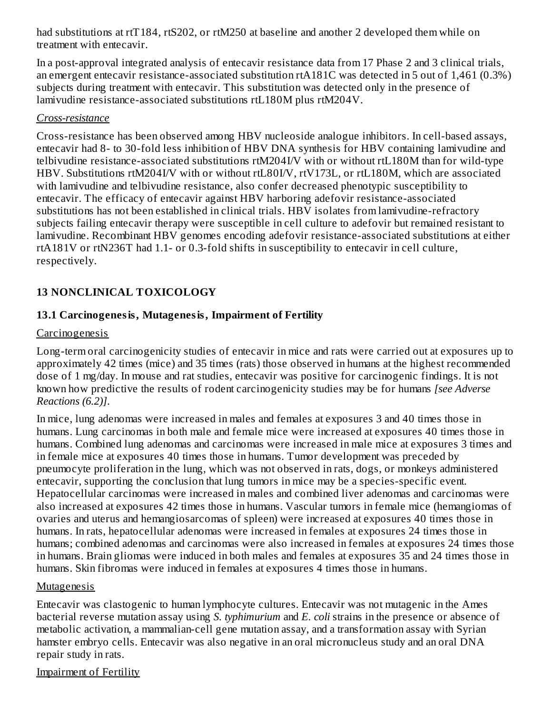had substitutions at rtT184, rtS202, or rtM250 at baseline and another 2 developed them while on treatment with entecavir.

In a post-approval integrated analysis of entecavir resistance data from 17 Phase 2 and 3 clinical trials, an emergent entecavir resistance-associated substitution rtA181C was detected in 5 out of 1,461 (0.3%) subjects during treatment with entecavir. This substitution was detected only in the presence of lamivudine resistance-associated substitutions rtL180M plus rtM204V.

#### *Cross-resistance*

Cross-resistance has been observed among HBV nucleoside analogue inhibitors. In cell-based assays, entecavir had 8- to 30-fold less inhibition of HBV DNA synthesis for HBV containing lamivudine and telbivudine resistance-associated substitutions rtM204I/V with or without rtL180M than for wild-type HBV. Substitutions rtM204I/V with or without rtL80I/V, rtV173L, or rtL180M, which are associated with lamivudine and telbivudine resistance, also confer decreased phenotypic susceptibility to entecavir. The efficacy of entecavir against HBV harboring adefovir resistance-associated substitutions has not been established in clinical trials. HBV isolates from lamivudine-refractory subjects failing entecavir therapy were susceptible in cell culture to adefovir but remained resistant to lamivudine. Recombinant HBV genomes encoding adefovir resistance-associated substitutions at either rtA181V or rtN236T had 1.1- or 0.3-fold shifts in susceptibility to entecavir in cell culture, respectively.

## **13 NONCLINICAL TOXICOLOGY**

## **13.1 Carcinogenesis, Mutagenesis, Impairment of Fertility**

#### **Carcinogenesis**

Long-term oral carcinogenicity studies of entecavir in mice and rats were carried out at exposures up to approximately 42 times (mice) and 35 times (rats) those observed in humans at the highest recommended dose of 1 mg/day. In mouse and rat studies, entecavir was positive for carcinogenic findings. It is not known how predictive the results of rodent carcinogenicity studies may be for humans *[see Adverse Reactions (6.2)]*.

In mice, lung adenomas were increased in males and females at exposures 3 and 40 times those in humans. Lung carcinomas in both male and female mice were increased at exposures 40 times those in humans. Combined lung adenomas and carcinomas were increased in male mice at exposures 3 times and in female mice at exposures 40 times those in humans. Tumor development was preceded by pneumocyte proliferation in the lung, which was not observed in rats, dogs, or monkeys administered entecavir, supporting the conclusion that lung tumors in mice may be a species-specific event. Hepatocellular carcinomas were increased in males and combined liver adenomas and carcinomas were also increased at exposures 42 times those in humans. Vascular tumors in female mice (hemangiomas of ovaries and uterus and hemangiosarcomas of spleen) were increased at exposures 40 times those in humans. In rats, hepatocellular adenomas were increased in females at exposures 24 times those in humans; combined adenomas and carcinomas were also increased in females at exposures 24 times those in humans. Brain gliomas were induced in both males and females at exposures 35 and 24 times those in humans. Skin fibromas were induced in females at exposures 4 times those in humans.

#### Mutagenesis

Entecavir was clastogenic to human lymphocyte cultures. Entecavir was not mutagenic in the Ames bacterial reverse mutation assay using *S. typhimurium* and *E. coli* strains in the presence or absence of metabolic activation, a mammalian-cell gene mutation assay, and a transformation assay with Syrian hamster embryo cells. Entecavir was also negative in an oral micronucleus study and an oral DNA repair study in rats.

## Impairment of Fertility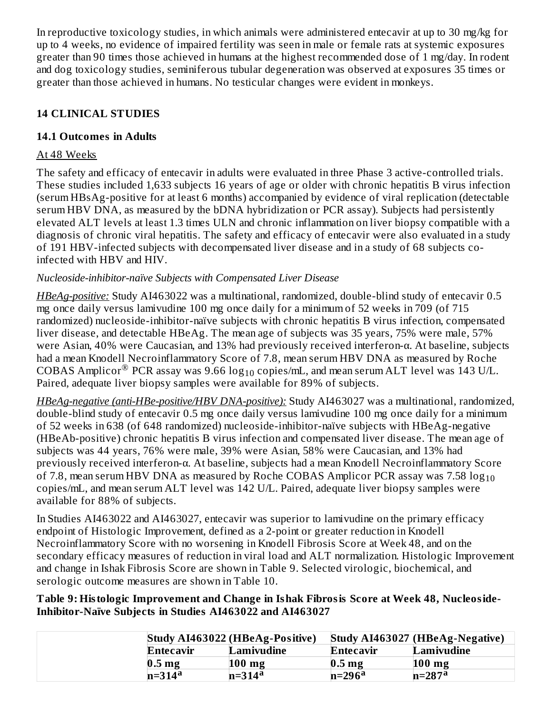In reproductive toxicology studies, in which animals were administered entecavir at up to 30 mg/kg for up to 4 weeks, no evidence of impaired fertility was seen in male or female rats at systemic exposures greater than 90 times those achieved in humans at the highest recommended dose of 1 mg/day. In rodent and dog toxicology studies, seminiferous tubular degeneration was observed at exposures 35 times or greater than those achieved in humans. No testicular changes were evident in monkeys.

## **14 CLINICAL STUDIES**

## **14.1 Outcomes in Adults**

#### At 48 Weeks

The safety and efficacy of entecavir in adults were evaluated in three Phase 3 active-controlled trials. These studies included 1,633 subjects 16 years of age or older with chronic hepatitis B virus infection (serum HBsAg-positive for at least 6 months) accompanied by evidence of viral replication (detectable serum HBV DNA, as measured by the bDNA hybridization or PCR assay). Subjects had persistently elevated ALT levels at least 1.3 times ULN and chronic inflammation on liver biopsy compatible with a diagnosis of chronic viral hepatitis. The safety and efficacy of entecavir were also evaluated in a study of 191 HBV-infected subjects with decompensated liver disease and in a study of 68 subjects coinfected with HBV and HIV.

## *Nucleoside-inhibitor-naïve Subjects with Compensated Liver Disease*

*HBeAg-positive:* Study AI463022 was a multinational, randomized, double-blind study of entecavir 0.5 mg once daily versus lamivudine 100 mg once daily for a minimum of 52 weeks in 709 (of 715 randomized) nucleoside-inhibitor-naïve subjects with chronic hepatitis B virus infection, compensated liver disease, and detectable HBeAg. The mean age of subjects was 35 years, 75% were male, 57% were Asian, 40% were Caucasian, and 13% had previously received interferon-α. At baseline, subjects had a mean Knodell Necroinflammatory Score of 7.8, mean serum HBV DNA as measured by Roche COBAS Amplicor $^\circledR$  PCR assay was 9.66 log $_{10}$  copies/mL, and mean serum ALT level was 143 U/L. Paired, adequate liver biopsy samples were available for 89% of subjects.

*HBeAg-negative (anti-HBe-positive/HBV DNA-positive):* Study AI463027 was a multinational, randomized, double-blind study of entecavir 0.5 mg once daily versus lamivudine 100 mg once daily for a minimum of 52 weeks in 638 (of 648 randomized) nucleoside-inhibitor-naïve subjects with HBeAg-negative (HBeAb-positive) chronic hepatitis B virus infection and compensated liver disease. The mean age of subjects was 44 years, 76% were male, 39% were Asian, 58% were Caucasian, and 13% had previously received interferon-α. At baseline, subjects had a mean Knodell Necroinflammatory Score of 7.8, mean serum HBV DNA as measured by Roche COBAS Amplicor PCR assay was 7.58  $\log_{10}$ copies/mL, and mean serum ALT level was 142 U/L. Paired, adequate liver biopsy samples were available for 88% of subjects.

In Studies AI463022 and AI463027, entecavir was superior to lamivudine on the primary efficacy endpoint of Histologic Improvement, defined as a 2-point or greater reduction in Knodell Necroinflammatory Score with no worsening in Knodell Fibrosis Score at Week 48, and on the secondary efficacy measures of reduction in viral load and ALT normalization. Histologic Improvement and change in Ishak Fibrosis Score are shown in Table 9. Selected virologic, biochemical, and serologic outcome measures are shown in Table 10.

**Table 9: Histologic Improvement and Change in Ishak Fibrosis Score at Week 48, Nucleoside-Inhibitor-Naïve Subjects in Studies AI463022 and AI463027**

|                   | Study AI463022 (HBeAg-Positive) |                   | Study AI463027 (HBeAg-Negative) |
|-------------------|---------------------------------|-------------------|---------------------------------|
| Entecavir         | Lamivudine                      | Entecavir         | Lamivudine                      |
| 0.5 <sub>mg</sub> | $100$ mg                        | 0.5 <sub>mg</sub> | $100$ mg                        |
| $n=314a$          | $n = 314^a$                     | $n=296^a$         | $n=287a$                        |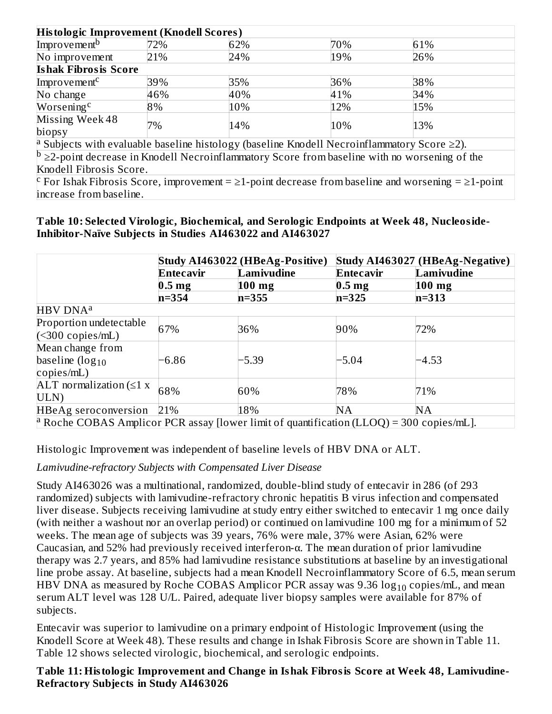| Histologic Improvement (Knodell Scores)                                                                          |     |     |     |                                                                                                         |
|------------------------------------------------------------------------------------------------------------------|-----|-----|-----|---------------------------------------------------------------------------------------------------------|
| Improvement <sup>b</sup>                                                                                         | 72% | 62% | 70% | 61%                                                                                                     |
| No improvement                                                                                                   | 21% | 24% | 19% | 26%                                                                                                     |
| <b>Ishak Fibrosis Score</b>                                                                                      |     |     |     |                                                                                                         |
| Improvement <sup>c</sup>                                                                                         | 39% | 35% | 36% | 38%                                                                                                     |
| No change                                                                                                        | 46% | 40% | 41% | 34%                                                                                                     |
| Worsening <sup>c</sup>                                                                                           | 8%  | 10% | 12% | 15%                                                                                                     |
| Missing Week 48<br>biopsy                                                                                        | 7%  | 14% | 10% | 13%                                                                                                     |
| <sup>a</sup> Subjects with evaluable baseline histology (baseline Knodell Necroinflammatory Score $\geq$ 2).     |     |     |     |                                                                                                         |
|                                                                                                                  |     |     |     | $\frac{b}{2}$ -point decrease in Knodell Necroinflammatory Score from baseline with no worsening of the |
| Knodell Fibrosis Score.                                                                                          |     |     |     |                                                                                                         |
| F For Ishak Fibrosis Score, improvement = $\geq 1$ -point decrease from baseline and worsening = $\geq 1$ -point |     |     |     |                                                                                                         |
| increase from baseline.                                                                                          |     |     |     |                                                                                                         |

**Table 10: Selected Virologic, Biochemical, and Serologic Endpoints at Week 48, Nucleoside-Inhibitor-Naïve Subjects in Studies AI463022 and AI463027**

|                                                                                                     |                   | Study AI463022 (HBeAg-Positive) |                   | <b>Study AI463027 (HBeAg-Negative)</b> |
|-----------------------------------------------------------------------------------------------------|-------------------|---------------------------------|-------------------|----------------------------------------|
|                                                                                                     | <b>Entecavir</b>  | Lamivudine                      | Entecavir         | Lamivudine                             |
|                                                                                                     | 0.5 <sub>mg</sub> | $100$ mg                        | 0.5 <sub>mg</sub> | $100$ mg                               |
|                                                                                                     | $n = 354$         | $n = 355$                       | $n=325$           | $n = 313$                              |
| HBV DNA <sup>a</sup>                                                                                |                   |                                 |                   |                                        |
| Proportion undetectable                                                                             | 67%               | 36%                             | 90%               | 72%                                    |
| $(<$ 300 copies/mL)                                                                                 |                   |                                 |                   |                                        |
| Mean change from                                                                                    |                   |                                 |                   |                                        |
| baseline $(log_{10}$                                                                                | $-6.86$           | $-5.39$                         | $-5.04$           | -4.53                                  |
| copies/mL)                                                                                          |                   |                                 |                   |                                        |
| ALT normalization $(\leq 1 x)$                                                                      | 68%               | 60%                             | 78%               | 71%                                    |
| ULN)                                                                                                |                   |                                 |                   |                                        |
| <b>HBeAg seroconversion</b>                                                                         | 21%               | 18%                             | <b>NA</b>         | NA                                     |
| <sup>a</sup> Roche COBAS Amplicor PCR assay [lower limit of quantification (LLOQ) = 300 copies/mL]. |                   |                                 |                   |                                        |

Histologic Improvement was independent of baseline levels of HBV DNA or ALT.

*Lamivudine-refractory Subjects with Compensated Liver Disease*

Study AI463026 was a multinational, randomized, double-blind study of entecavir in 286 (of 293 randomized) subjects with lamivudine-refractory chronic hepatitis B virus infection and compensated liver disease. Subjects receiving lamivudine at study entry either switched to entecavir 1 mg once daily (with neither a washout nor an overlap period) or continued on lamivudine 100 mg for a minimum of 52 weeks. The mean age of subjects was 39 years, 76% were male, 37% were Asian, 62% were Caucasian, and 52% had previously received interferon-α. The mean duration of prior lamivudine therapy was 2.7 years, and 85% had lamivudine resistance substitutions at baseline by an investigational line probe assay. At baseline, subjects had a mean Knodell Necroinflammatory Score of 6.5, mean serum HBV DNA as measured by Roche COBAS Amplicor PCR assay was 9.36  $\log_{10}$  copies/mL, and mean serum ALT level was 128 U/L. Paired, adequate liver biopsy samples were available for 87% of subjects.

Entecavir was superior to lamivudine on a primary endpoint of Histologic Improvement (using the Knodell Score at Week 48). These results and change in Ishak Fibrosis Score are shown in Table 11. Table 12 shows selected virologic, biochemical, and serologic endpoints.

#### **Table 11: Histologic Improvement and Change in Ishak Fibrosis Score at Week 48, Lamivudine-Refractory Subjects in Study AI463026**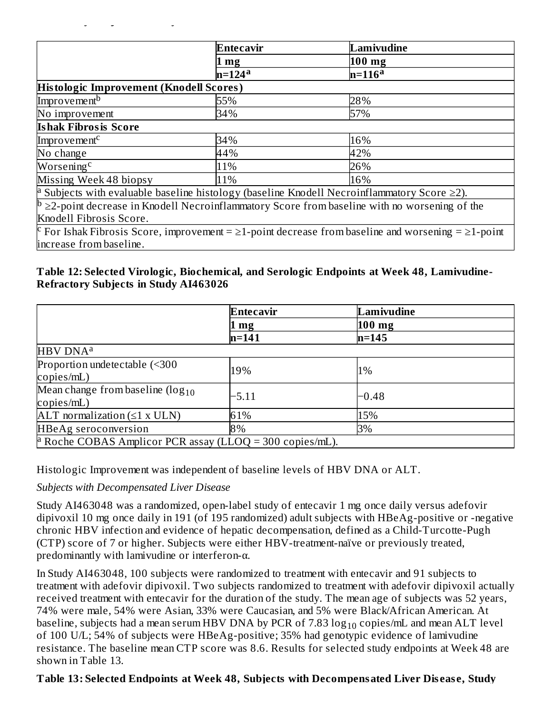|                                         | Entecavir | Lamivudine                                                                                                       |
|-----------------------------------------|-----------|------------------------------------------------------------------------------------------------------------------|
|                                         | 1 mg      | $100$ mg                                                                                                         |
|                                         | $n=124a$  | $n=116a$                                                                                                         |
| Histologic Improvement (Knodell Scores) |           |                                                                                                                  |
| Improvement <sup>b</sup>                | 55%       | 28%                                                                                                              |
| No improvement                          | 34%       | 57%                                                                                                              |
| <b>Ishak Fibrosis Score</b>             |           |                                                                                                                  |
| Improvement <sup>c</sup>                | 34%       | 16%                                                                                                              |
| No change                               | 44%       | 42%                                                                                                              |
| Worsening <sup>c</sup>                  | 11%       | 26%                                                                                                              |
| Missing Week 48 biopsy                  | 11%       | 16%                                                                                                              |
|                                         |           | <sup>a</sup> Subjects with evaluable baseline histology (baseline Knodell Necroinflammatory Score $\geq$ 2).     |
|                                         |           | $\mathbb{P}$ $\geq$ 2-point decrease in Knodell Necroinflammatory Score from baseline with no worsening of the   |
| Knodell Fibrosis Score.                 |           |                                                                                                                  |
|                                         |           | F For Ishak Fibrosis Score, improvement = $\geq 1$ -point decrease from baseline and worsening = $\geq 1$ -point |
| increase from baseline.                 |           |                                                                                                                  |

#### **Table 12: Selected Virologic, Biochemical, and Serologic Endpoints at Week 48, Lamivudine-Refractory Subjects in Study AI463026**

|                                                                     | Entecavir | Lamivudine |  |
|---------------------------------------------------------------------|-----------|------------|--|
|                                                                     | mg        | $100$ mg   |  |
|                                                                     | $n = 141$ | $n = 145$  |  |
| HBV DNA <sup>a</sup>                                                |           |            |  |
| Proportion undetectable (<300                                       | 19%       | 1%         |  |
| copies/mL)                                                          |           |            |  |
| Mean change from baseline $(log_{10}$                               | -5.11     | $-0.48$    |  |
| copies/mL)                                                          |           |            |  |
| ALT normalization $(\leq 1 \times ULN)$                             | 61%       | 15%        |  |
| <b>HBeAg</b> seroconversion                                         | 8%        | 3%         |  |
| <sup>a</sup> Roche COBAS Amplicor PCR assay (LLOQ = 300 copies/mL). |           |            |  |

Histologic Improvement was independent of baseline levels of HBV DNA or ALT.

#### *Subjects with Decompensated Liver Disease*

**Refractory Subjects in Study AI463026**

Study AI463048 was a randomized, open-label study of entecavir 1 mg once daily versus adefovir dipivoxil 10 mg once daily in 191 (of 195 randomized) adult subjects with HBeAg-positive or -negative chronic HBV infection and evidence of hepatic decompensation, defined as a Child-Turcotte-Pugh (CTP) score of 7 or higher. Subjects were either HBV-treatment-naïve or previously treated, predominantly with lamivudine or interferon-α.

In Study AI463048, 100 subjects were randomized to treatment with entecavir and 91 subjects to treatment with adefovir dipivoxil. Two subjects randomized to treatment with adefovir dipivoxil actually received treatment with entecavir for the duration of the study. The mean age of subjects was 52 years, 74% were male, 54% were Asian, 33% were Caucasian, and 5% were Black/African American. At baseline, subjects had a mean serum HBV DNA by PCR of 7.83  $\log_{10}$  copies/mL and mean ALT level of 100 U/L; 54% of subjects were HBeAg-positive; 35% had genotypic evidence of lamivudine resistance. The baseline mean CTP score was 8.6. Results for selected study endpoints at Week 48 are shown in Table 13.

#### **Table 13: Selected Endpoints at Week 48, Subjects with Decompensated Liver Dis eas e, Study**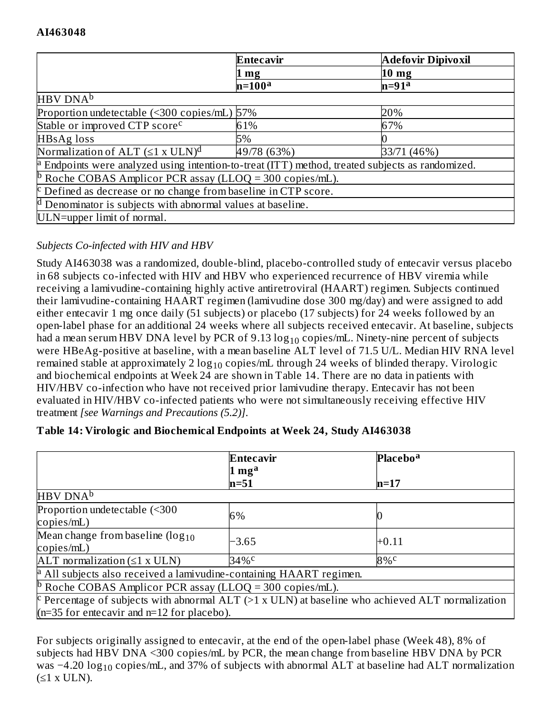|                                                                                                         | <b>Entecavir</b>  | <b>Adefovir Dipivoxil</b> |  |  |
|---------------------------------------------------------------------------------------------------------|-------------------|---------------------------|--|--|
|                                                                                                         | $1 \,\mathrm{mg}$ | 10 <sub>mg</sub>          |  |  |
|                                                                                                         | $n=100a$          | $n=91a$                   |  |  |
| HBV DNA <sup>b</sup>                                                                                    |                   |                           |  |  |
| Proportion undetectable (<300 copies/mL) 57%                                                            |                   | 20%                       |  |  |
| Stable or improved CTP score <sup>c</sup>                                                               | 61%               | 67%                       |  |  |
| HBsAg loss                                                                                              | 5%                |                           |  |  |
| Normalization of ALT $(\leq 1 \times ULN)^d$                                                            | 49/78 (63%)       | 33/71 (46%)               |  |  |
| $\alpha$ Endpoints were analyzed using intention-to-treat (ITT) method, treated subjects as randomized. |                   |                           |  |  |
| <sup>b</sup> Roche COBAS Amplicor PCR assay (LLOQ = 300 copies/mL).                                     |                   |                           |  |  |
| $\epsilon$ Defined as decrease or no change from baseline in CTP score.                                 |                   |                           |  |  |
| <sup>d</sup> Denominator is subjects with abnormal values at baseline.                                  |                   |                           |  |  |
| ULN=upper limit of normal.                                                                              |                   |                           |  |  |

## *Subjects Co-infected with HIV and HBV*

Study AI463038 was a randomized, double-blind, placebo-controlled study of entecavir versus placebo in 68 subjects co-infected with HIV and HBV who experienced recurrence of HBV viremia while receiving a lamivudine-containing highly active antiretroviral (HAART) regimen. Subjects continued their lamivudine-containing HAART regimen (lamivudine dose 300 mg/day) and were assigned to add either entecavir 1 mg once daily (51 subjects) or placebo (17 subjects) for 24 weeks followed by an open-label phase for an additional 24 weeks where all subjects received entecavir. At baseline, subjects had a mean serum HBV DNA level by PCR of  $9.13 \log_{10}$  copies/mL. Ninety-nine percent of subjects were HBeAg-positive at baseline, with a mean baseline ALT level of 71.5 U/L. Median HIV RNA level remained stable at approximately 2  $\log_{10}$  copies/mL through 24 weeks of blinded therapy. Virologic and biochemical endpoints at Week 24 are shown in Table 14. There are no data in patients with HIV/HBV co-infection who have not received prior lamivudine therapy. Entecavir has not been evaluated in HIV/HBV co-infected patients who were not simultaneously receiving effective HIV treatment *[see Warnings and Precautions (5.2)]*.

|                                                                                                     | <b>Entecavir</b>          | <b>Placebo<sup>a</sup></b> |  |
|-----------------------------------------------------------------------------------------------------|---------------------------|----------------------------|--|
|                                                                                                     | $1 \text{ mg}^{\text{a}}$ |                            |  |
|                                                                                                     | $n=51$                    | $n=17$                     |  |
| HBV DNA <sup>b</sup>                                                                                |                           |                            |  |
| Proportion undetectable (<300                                                                       | 6%                        |                            |  |
| copies/mL)                                                                                          |                           |                            |  |
| Mean change from baseline $(log_{10}$                                                               |                           |                            |  |
| copies/mL)                                                                                          | -3.65                     | $+0.11$                    |  |
| ALT normalization $(\leq 1 \times ULN)$                                                             | 34%c                      | $8\%$ <sup>c</sup>         |  |
| <sup>a</sup> All subjects also received a lamivudine-containing HAART regimen.                      |                           |                            |  |
| <sup>b</sup> Roche COBAS Amplicor PCR assay (LLOQ = 300 copies/mL).                                 |                           |                            |  |
| F Percentage of subjects with abnormal ALT ( $>1$ x ULN) at baseline who achieved ALT normalization |                           |                            |  |
| $(n=35$ for entecavir and $n=12$ for placebo).                                                      |                           |                            |  |

## **Table 14: Virologic and Biochemical Endpoints at Week 24, Study AI463038**

For subjects originally assigned to entecavir, at the end of the open-label phase (Week 48), 8% of subjects had HBV DNA <300 copies/mL by PCR, the mean change from baseline HBV DNA by PCR was −4.20  $\log_{10}$  copies/mL, and 37% of subjects with abnormal ALT at baseline had ALT normalization  $(≤1 x ULN).$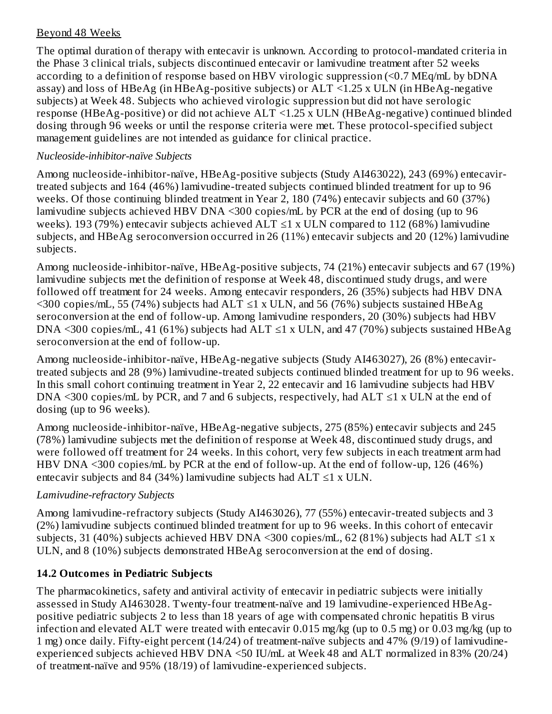## Beyond 48 Weeks

The optimal duration of therapy with entecavir is unknown. According to protocol-mandated criteria in the Phase 3 clinical trials, subjects discontinued entecavir or lamivudine treatment after 52 weeks according to a definition of response based on HBV virologic suppression (<0.7 MEq/mL by bDNA assay) and loss of HBeAg (in HBeAg-positive subjects) or  $ALT \le 1.25$  x ULN (in HBeAg-negative subjects) at Week 48. Subjects who achieved virologic suppression but did not have serologic response (HBeAg-positive) or did not achieve ALT <1.25 x ULN (HBeAg-negative) continued blinded dosing through 96 weeks or until the response criteria were met. These protocol-specified subject management guidelines are not intended as guidance for clinical practice.

#### *Nucleoside-inhibitor-naïve Subjects*

Among nucleoside-inhibitor-naïve, HBeAg-positive subjects (Study AI463022), 243 (69%) entecavirtreated subjects and 164 (46%) lamivudine-treated subjects continued blinded treatment for up to 96 weeks. Of those continuing blinded treatment in Year 2, 180 (74%) entecavir subjects and 60 (37%) lamivudine subjects achieved HBV DNA <300 copies/mL by PCR at the end of dosing (up to 96 weeks). 193 (79%) entecavir subjects achieved  $ALT \le 1$  x ULN compared to 112 (68%) lamivudine subjects, and HBeAg seroconversion occurred in 26 (11%) entecavir subjects and 20 (12%) lamivudine subjects.

Among nucleoside-inhibitor-naïve, HBeAg-positive subjects, 74 (21%) entecavir subjects and 67 (19%) lamivudine subjects met the definition of response at Week 48, discontinued study drugs, and were followed off treatment for 24 weeks. Among entecavir responders, 26 (35%) subjects had HBV DNA  $\leq$ 300 copies/mL, 55 (74%) subjects had ALT  $\leq$ 1 x ULN, and 56 (76%) subjects sustained HBeAg seroconversion at the end of follow-up. Among lamivudine responders, 20 (30%) subjects had HBV DNA <300 copies/mL, 41 (61%) subjects had ALT  $\leq$ 1 x ULN, and 47 (70%) subjects sustained HBeAg seroconversion at the end of follow-up.

Among nucleoside-inhibitor-naïve, HBeAg-negative subjects (Study AI463027), 26 (8%) entecavirtreated subjects and 28 (9%) lamivudine-treated subjects continued blinded treatment for up to 96 weeks. In this small cohort continuing treatment in Year 2, 22 entecavir and 16 lamivudine subjects had HBV DNA <300 copies/mL by PCR, and 7 and 6 subjects, respectively, had  $ALT \leq 1$  x ULN at the end of dosing (up to 96 weeks).

Among nucleoside-inhibitor-naïve, HBeAg-negative subjects, 275 (85%) entecavir subjects and 245 (78%) lamivudine subjects met the definition of response at Week 48, discontinued study drugs, and were followed off treatment for 24 weeks. In this cohort, very few subjects in each treatment arm had HBV DNA <300 copies/mL by PCR at the end of follow-up. At the end of follow-up, 126 (46%) entecavir subjects and 84 (34%) lamivudine subjects had  $ALT \leq 1$  x ULN.

## *Lamivudine-refractory Subjects*

Among lamivudine-refractory subjects (Study AI463026), 77 (55%) entecavir-treated subjects and 3 (2%) lamivudine subjects continued blinded treatment for up to 96 weeks. In this cohort of entecavir subjects, 31 (40%) subjects achieved HBV DNA <300 copies/mL, 62 (81%) subjects had ALT  $\leq$ 1 x ULN, and 8 (10%) subjects demonstrated HBeAg seroconversion at the end of dosing.

# **14.2 Outcomes in Pediatric Subjects**

The pharmacokinetics, safety and antiviral activity of entecavir in pediatric subjects were initially assessed in Study AI463028. Twenty-four treatment-naïve and 19 lamivudine-experienced HBeAgpositive pediatric subjects 2 to less than 18 years of age with compensated chronic hepatitis B virus infection and elevated ALT were treated with entecavir 0.015 mg/kg (up to 0.5 mg) or 0.03 mg/kg (up to 1 mg) once daily. Fifty-eight percent (14/24) of treatment-naïve subjects and 47% (9/19) of lamivudineexperienced subjects achieved HBV DNA <50 IU/mL at Week 48 and ALT normalized in 83% (20/24) of treatment-naïve and 95% (18/19) of lamivudine-experienced subjects.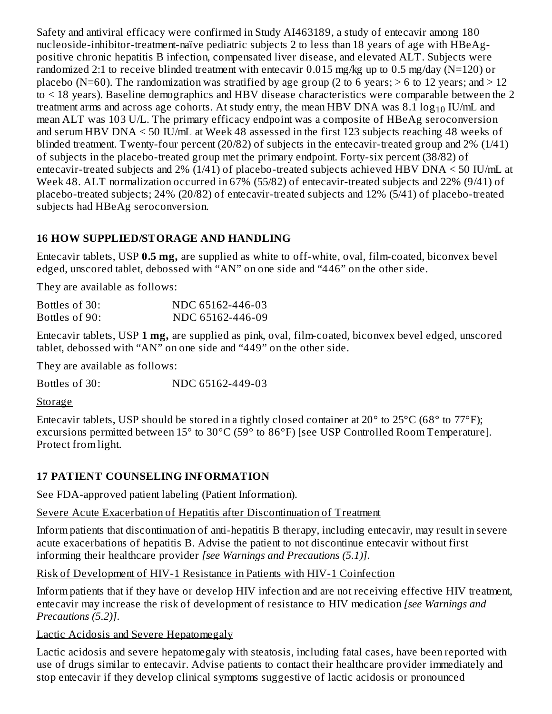Safety and antiviral efficacy were confirmed in Study AI463189, a study of entecavir among 180 nucleoside-inhibitor-treatment-naïve pediatric subjects 2 to less than 18 years of age with HBeAgpositive chronic hepatitis B infection, compensated liver disease, and elevated ALT. Subjects were randomized 2:1 to receive blinded treatment with entecavir 0.015 mg/kg up to 0.5 mg/day (N=120) or placebo (N=60). The randomization was stratified by age group (2 to 6 years;  $>$  6 to 12 years; and  $>$  12 to < 18 years). Baseline demographics and HBV disease characteristics were comparable between the 2 treatment arms and across age cohorts. At study entry, the mean HBV DNA was  $8.1\log_{10}$  IU/mL and mean ALT was 103 U/L. The primary efficacy endpoint was a composite of HBeAg seroconversion and serum HBV DNA < 50 IU/mL at Week 48 assessed in the first 123 subjects reaching 48 weeks of blinded treatment. Twenty-four percent (20/82) of subjects in the entecavir-treated group and 2% (1/41) of subjects in the placebo-treated group met the primary endpoint. Forty-six percent (38/82) of entecavir-treated subjects and 2% (1/41) of placebo-treated subjects achieved HBV DNA < 50 IU/mL at Week 48. ALT normalization occurred in 67% (55/82) of entecavir-treated subjects and 22% (9/41) of placebo-treated subjects; 24% (20/82) of entecavir-treated subjects and 12% (5/41) of placebo-treated subjects had HBeAg seroconversion.

## **16 HOW SUPPLIED/STORAGE AND HANDLING**

Entecavir tablets, USP **0.5 mg,** are supplied as white to off-white, oval, film-coated, biconvex bevel edged, unscored tablet, debossed with "AN" on one side and "446" on the other side.

They are available as follows:

| Bottles of 30: | NDC 65162-446-03 |
|----------------|------------------|
| Bottles of 90: | NDC 65162-446-09 |

Entecavir tablets, USP **1 mg,** are supplied as pink, oval, film-coated, biconvex bevel edged, unscored tablet, debossed with "AN" on one side and "449" on the other side.

They are available as follows:

Bottles of 30: NDC 65162-449-03

**Storage** 

Entecavir tablets, USP should be stored in a tightly closed container at 20° to 25°C (68° to 77°F); excursions permitted between 15° to 30°C (59° to 86°F) [see USP Controlled Room Temperature]. Protect from light.

# **17 PATIENT COUNSELING INFORMATION**

See FDA-approved patient labeling (Patient Information).

## Severe Acute Exacerbation of Hepatitis after Discontinuation of Treatment

Inform patients that discontinuation of anti-hepatitis B therapy, including entecavir, may result in severe acute exacerbations of hepatitis B. Advise the patient to not discontinue entecavir without first informing their healthcare provider *[see Warnings and Precautions (5.1)]*.

Risk of Development of HIV-1 Resistance in Patients with HIV-1 Coinfection

Inform patients that if they have or develop HIV infection and are not receiving effective HIV treatment, entecavir may increase the risk of development of resistance to HIV medication *[see Warnings and Precautions (5.2)]*.

Lactic Acidosis and Severe Hepatomegaly

Lactic acidosis and severe hepatomegaly with steatosis, including fatal cases, have been reported with use of drugs similar to entecavir. Advise patients to contact their healthcare provider immediately and stop entecavir if they develop clinical symptoms suggestive of lactic acidosis or pronounced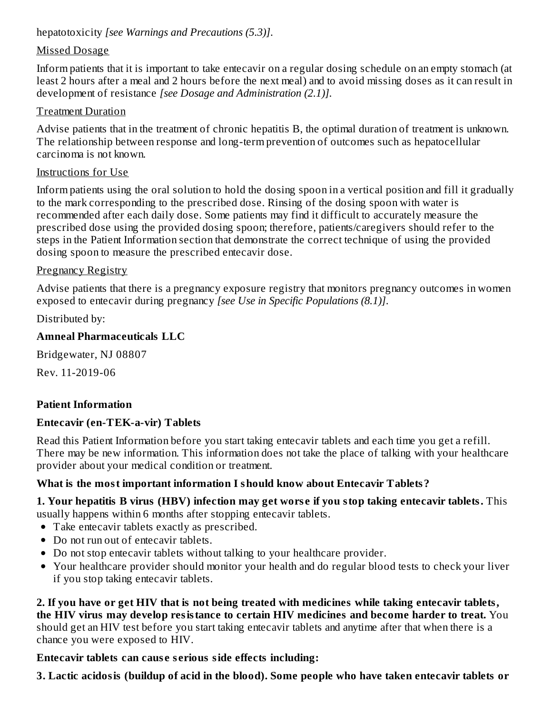hepatotoxicity *[see Warnings and Precautions (5.3)]*.

## Missed Dosage

Inform patients that it is important to take entecavir on a regular dosing schedule on an empty stomach (at least 2 hours after a meal and 2 hours before the next meal) and to avoid missing doses as it can result in development of resistance *[see Dosage and Administration (2.1)]*.

## Treatment Duration

Advise patients that in the treatment of chronic hepatitis B, the optimal duration of treatment is unknown. The relationship between response and long-term prevention of outcomes such as hepatocellular carcinoma is not known.

#### Instructions for Use

Inform patients using the oral solution to hold the dosing spoon in a vertical position and fill it gradually to the mark corresponding to the prescribed dose. Rinsing of the dosing spoon with water is recommended after each daily dose. Some patients may find it difficult to accurately measure the prescribed dose using the provided dosing spoon; therefore, patients/caregivers should refer to the steps in the Patient Information section that demonstrate the correct technique of using the provided dosing spoon to measure the prescribed entecavir dose.

## Pregnancy Registry

Advise patients that there is a pregnancy exposure registry that monitors pregnancy outcomes in women exposed to entecavir during pregnancy *[see Use in Specific Populations (8.1)]*.

Distributed by:

## **Amneal Pharmaceuticals LLC**

Bridgewater, NJ 08807

Rev. 11-2019-06

## **Patient Information**

## **Entecavir (en-TEK-a-vir) Tablets**

Read this Patient Information before you start taking entecavir tablets and each time you get a refill. There may be new information. This information does not take the place of talking with your healthcare provider about your medical condition or treatment.

## **What is the most important information I should know about Entecavir Tablets?**

**1. Your hepatitis B virus (HBV) infection may get wors e if you stop taking entecavir tablets.** This usually happens within 6 months after stopping entecavir tablets.

- Take entecavir tablets exactly as prescribed.
- Do not run out of entecavir tablets.
- Do not stop entecavir tablets without talking to your healthcare provider.
- Your healthcare provider should monitor your health and do regular blood tests to check your liver if you stop taking entecavir tablets.

**2. If you have or get HIV that is not being treated with medicines while taking entecavir tablets, the HIV virus may develop resistance to certain HIV medicines and become harder to treat.** You should get an HIV test before you start taking entecavir tablets and anytime after that when there is a chance you were exposed to HIV.

## **Entecavir tablets can caus e s erious side effects including:**

**3. Lactic acidosis (buildup of acid in the blood). Some people who have taken entecavir tablets or**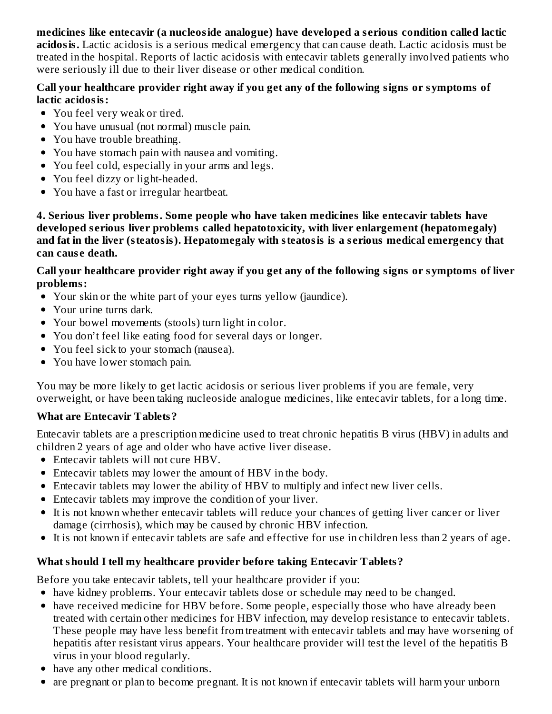## **medicines like entecavir (a nucleoside analogue) have developed a s erious condition called lactic**

**acidosis.** Lactic acidosis is a serious medical emergency that can cause death. Lactic acidosis must be treated in the hospital. Reports of lactic acidosis with entecavir tablets generally involved patients who were seriously ill due to their liver disease or other medical condition.

#### **Call your healthcare provider right away if you get any of the following signs or symptoms of lactic acidosis:**

- You feel very weak or tired.
- You have unusual (not normal) muscle pain.
- You have trouble breathing.
- You have stomach pain with nausea and vomiting.
- You feel cold, especially in your arms and legs.
- You feel dizzy or light-headed.
- You have a fast or irregular heartbeat.

**4. Serious liver problems. Some people who have taken medicines like entecavir tablets have developed s erious liver problems called hepatotoxicity, with liver enlargement (hepatomegaly) and fat in the liver (steatosis). Hepatomegaly with steatosis is a s erious medical emergency that can caus e death.**

#### Call your healthcare provider right away if you get any of the following signs or symptoms of liver **problems:**

- Your skin or the white part of your eyes turns yellow (jaundice).
- Your urine turns dark.
- Your bowel movements (stools) turn light in color.
- You don't feel like eating food for several days or longer.
- You feel sick to your stomach (nausea).
- You have lower stomach pain.

You may be more likely to get lactic acidosis or serious liver problems if you are female, very overweight, or have been taking nucleoside analogue medicines, like entecavir tablets, for a long time.

## **What are Entecavir Tablets?**

Entecavir tablets are a prescription medicine used to treat chronic hepatitis B virus (HBV) in adults and children 2 years of age and older who have active liver disease.

- Entecavir tablets will not cure HBV.
- Entecavir tablets may lower the amount of HBV in the body.
- Entecavir tablets may lower the ability of HBV to multiply and infect new liver cells.
- Entecavir tablets may improve the condition of your liver.
- It is not known whether entecavir tablets will reduce your chances of getting liver cancer or liver damage (cirrhosis), which may be caused by chronic HBV infection.
- It is not known if entecavir tablets are safe and effective for use in children less than 2 years of age.

## **What should I tell my healthcare provider before taking Entecavir Tablets?**

Before you take entecavir tablets, tell your healthcare provider if you:

- have kidney problems. Your entecavir tablets dose or schedule may need to be changed.
- have received medicine for HBV before. Some people, especially those who have already been treated with certain other medicines for HBV infection, may develop resistance to entecavir tablets. These people may have less benefit from treatment with entecavir tablets and may have worsening of hepatitis after resistant virus appears. Your healthcare provider will test the level of the hepatitis B virus in your blood regularly.
- have any other medical conditions.
- are pregnant or plan to become pregnant. It is not known if entecavir tablets will harm your unborn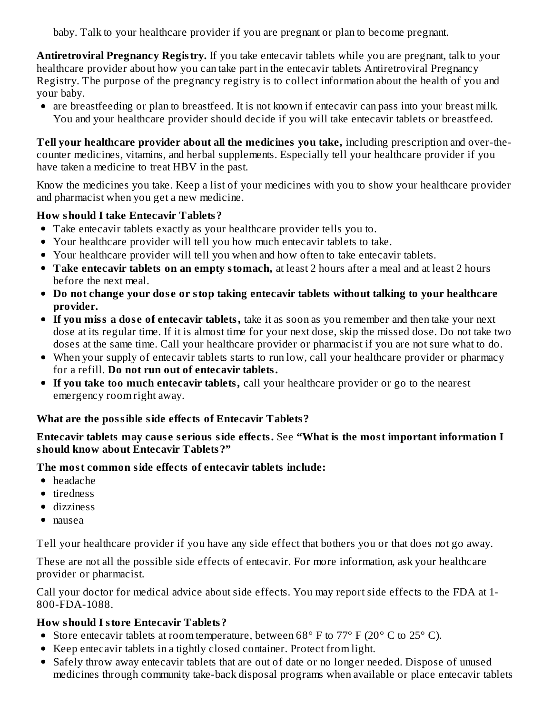baby. Talk to your healthcare provider if you are pregnant or plan to become pregnant.

**Antiretroviral Pregnancy Registry.** If you take entecavir tablets while you are pregnant, talk to your healthcare provider about how you can take part in the entecavir tablets Antiretroviral Pregnancy Registry. The purpose of the pregnancy registry is to collect information about the health of you and your baby.

are breastfeeding or plan to breastfeed. It is not known if entecavir can pass into your breast milk. You and your healthcare provider should decide if you will take entecavir tablets or breastfeed.

**Tell your healthcare provider about all the medicines you take,** including prescription and over-thecounter medicines, vitamins, and herbal supplements. Especially tell your healthcare provider if you have taken a medicine to treat HBV in the past.

Know the medicines you take. Keep a list of your medicines with you to show your healthcare provider and pharmacist when you get a new medicine.

## **How should I take Entecavir Tablets?**

- Take entecavir tablets exactly as your healthcare provider tells you to.
- Your healthcare provider will tell you how much entecavir tablets to take.
- Your healthcare provider will tell you when and how often to take entecavir tablets.
- **Take entecavir tablets on an empty stomach,** at least 2 hours after a meal and at least 2 hours before the next meal.
- **Do not change your dos e or stop taking entecavir tablets without talking to your healthcare provider.**
- **If you miss a dos e of entecavir tablets,** take it as soon as you remember and then take your next dose at its regular time. If it is almost time for your next dose, skip the missed dose. Do not take two doses at the same time. Call your healthcare provider or pharmacist if you are not sure what to do.
- When your supply of entecavir tablets starts to run low, call your healthcare provider or pharmacy for a refill. **Do not run out of entecavir tablets.**
- **If you take too much entecavir tablets,** call your healthcare provider or go to the nearest emergency room right away.

## **What are the possible side effects of Entecavir Tablets?**

#### **Entecavir tablets may caus e s erious side effects.** See **"What is the most important information I should know about Entecavir Tablets?"**

#### **The most common side effects of entecavir tablets include:**

- headache
- tiredness
- dizziness
- nausea

Tell your healthcare provider if you have any side effect that bothers you or that does not go away.

These are not all the possible side effects of entecavir. For more information, ask your healthcare provider or pharmacist.

Call your doctor for medical advice about side effects. You may report side effects to the FDA at 1- 800-FDA-1088.

## **How should I store Entecavir Tablets?**

- Store entecavir tablets at room temperature, between  $68^{\circ}$  F to  $77^{\circ}$  F (20 $^{\circ}$  C to 25 $^{\circ}$  C).
- Keep entecavir tablets in a tightly closed container. Protect from light.
- Safely throw away entecavir tablets that are out of date or no longer needed. Dispose of unused medicines through community take-back disposal programs when available or place entecavir tablets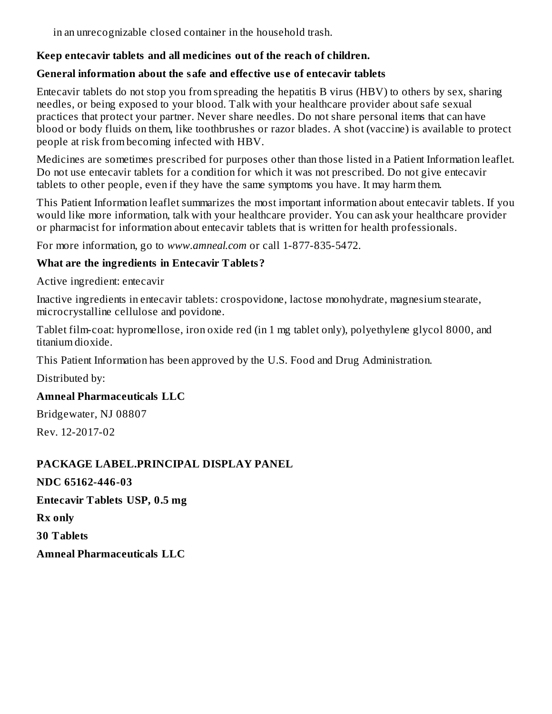in an unrecognizable closed container in the household trash.

#### **Keep entecavir tablets and all medicines out of the reach of children.**

#### **General information about the safe and effective us e of entecavir tablets**

Entecavir tablets do not stop you from spreading the hepatitis B virus (HBV) to others by sex, sharing needles, or being exposed to your blood. Talk with your healthcare provider about safe sexual practices that protect your partner. Never share needles. Do not share personal items that can have blood or body fluids on them, like toothbrushes or razor blades. A shot (vaccine) is available to protect people at risk from becoming infected with HBV.

Medicines are sometimes prescribed for purposes other than those listed in a Patient Information leaflet. Do not use entecavir tablets for a condition for which it was not prescribed. Do not give entecavir tablets to other people, even if they have the same symptoms you have. It may harm them.

This Patient Information leaflet summarizes the most important information about entecavir tablets. If you would like more information, talk with your healthcare provider. You can ask your healthcare provider or pharmacist for information about entecavir tablets that is written for health professionals.

For more information, go to *www.amneal.com* or call 1-877-835-5472.

## **What are the ingredients in Entecavir Tablets?**

Active ingredient: entecavir

Inactive ingredients in entecavir tablets: crospovidone, lactose monohydrate, magnesium stearate, microcrystalline cellulose and povidone.

Tablet film-coat: hypromellose, iron oxide red (in 1 mg tablet only), polyethylene glycol 8000, and titanium dioxide.

This Patient Information has been approved by the U.S. Food and Drug Administration.

Distributed by:

## **Amneal Pharmaceuticals LLC**

Bridgewater, NJ 08807

Rev. 12-2017-02

## **PACKAGE LABEL.PRINCIPAL DISPLAY PANEL**

**NDC 65162-446-03**

**Entecavir Tablets USP, 0.5 mg**

**Rx only**

**30 Tablets**

**Amneal Pharmaceuticals LLC**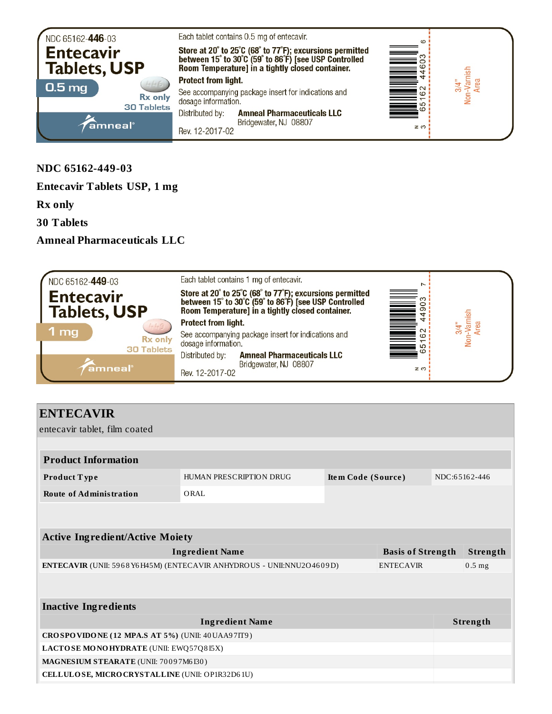

**NDC 65162-449-03**

**Entecavir Tablets USP, 1 mg**

**Rx only**

**30 Tablets**

**Amneal Pharmaceuticals LLC**



## **ENTECAVIR**

entecavir tablet, film coated

| <b>Product Information</b>                                            |                                               |  |                          |               |          |
|-----------------------------------------------------------------------|-----------------------------------------------|--|--------------------------|---------------|----------|
| <b>Product Type</b>                                                   | HUMAN PRESCRIPTION DRUG<br>Item Code (Source) |  |                          | NDC:65162-446 |          |
| <b>Route of Administration</b>                                        | ORAL                                          |  |                          |               |          |
|                                                                       |                                               |  |                          |               |          |
|                                                                       |                                               |  |                          |               |          |
| <b>Active Ingredient/Active Moiety</b>                                |                                               |  |                          |               |          |
|                                                                       | <b>Ingredient Name</b>                        |  | <b>Basis of Strength</b> |               | Strength |
| ENTECAVIR (UNII: 5968 Y6H45M) (ENTECAVIR ANHYDROUS - UNII:NNU2O4609D) |                                               |  | <b>ENTECAVIR</b>         |               | $0.5$ mg |
|                                                                       |                                               |  |                          |               |          |
|                                                                       |                                               |  |                          |               |          |
| <b>Inactive Ingredients</b>                                           |                                               |  |                          |               |          |
|                                                                       | <b>Ingredient Name</b>                        |  |                          |               | Strength |
| CROSPOVIDONE (12 MPA.S AT 5%) (UNII: 40 UAA97IT9)                     |                                               |  |                          |               |          |
| LACTOSE MONOHYDRATE (UNII: EWQ57Q8I5X)                                |                                               |  |                          |               |          |
| MAGNESIUM STEARATE (UNII: 70097M6I30)                                 |                                               |  |                          |               |          |
| CELLULOSE, MICRO CRYSTALLINE (UNII: OP1R32D61U)                       |                                               |  |                          |               |          |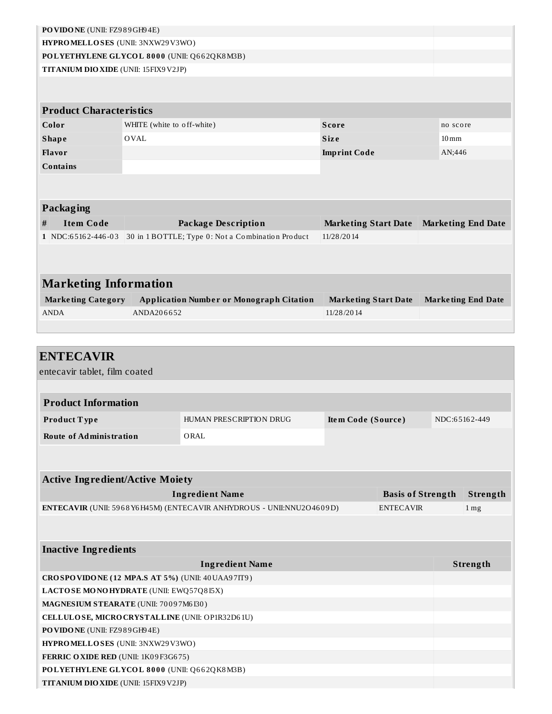|                                                   | PO VIDO NE (UNII: FZ989GH94E) |                                                                                                 |                             |                          |                    |                           |
|---------------------------------------------------|-------------------------------|-------------------------------------------------------------------------------------------------|-----------------------------|--------------------------|--------------------|---------------------------|
| HYPROMELLOSES (UNII: 3NXW29V3WO)                  |                               |                                                                                                 |                             |                          |                    |                           |
| POLYETHYLENE GLYCOL 8000 (UNII: Q662QK8M3B)       |                               |                                                                                                 |                             |                          |                    |                           |
| TITANIUM DIO XIDE (UNII: 15FIX9V2JP)              |                               |                                                                                                 |                             |                          |                    |                           |
|                                                   |                               |                                                                                                 |                             |                          |                    |                           |
| <b>Product Characteristics</b>                    |                               |                                                                                                 |                             |                          |                    |                           |
| Color                                             | WHITE (white to off-white)    |                                                                                                 | <b>Score</b>                |                          | no score           |                           |
| <b>Shape</b>                                      | OVAL                          |                                                                                                 | <b>Size</b>                 |                          | $10 \,\mathrm{mm}$ |                           |
| Flavor                                            |                               |                                                                                                 | <b>Imprint Code</b>         |                          | AN;446             |                           |
| <b>Contains</b>                                   |                               |                                                                                                 |                             |                          |                    |                           |
|                                                   |                               |                                                                                                 |                             |                          |                    |                           |
|                                                   |                               |                                                                                                 |                             |                          |                    |                           |
| <b>Packaging</b>                                  |                               |                                                                                                 |                             |                          |                    |                           |
| <b>Item Code</b><br>#                             |                               | <b>Package Description</b>                                                                      | <b>Marketing Start Date</b> |                          |                    | <b>Marketing End Date</b> |
| 1 NDC:65162-446-03                                |                               | 30 in 1 BOTTLE; Type 0: Not a Combination Product                                               | 11/28/2014                  |                          |                    |                           |
|                                                   |                               |                                                                                                 |                             |                          |                    |                           |
|                                                   |                               |                                                                                                 |                             |                          |                    |                           |
| <b>Marketing Information</b>                      |                               |                                                                                                 |                             |                          |                    |                           |
| <b>Marketing Category</b>                         |                               |                                                                                                 |                             |                          |                    |                           |
| <b>ANDA</b>                                       | ANDA206652                    | <b>Application Number or Monograph Citation</b>                                                 | <b>Marketing Start Date</b> |                          |                    | <b>Marketing End Date</b> |
|                                                   |                               |                                                                                                 | 11/28/2014                  |                          |                    |                           |
|                                                   |                               |                                                                                                 |                             |                          |                    |                           |
|                                                   |                               |                                                                                                 |                             |                          |                    |                           |
|                                                   |                               |                                                                                                 |                             |                          |                    |                           |
| <b>ENTECAVIR</b>                                  |                               |                                                                                                 |                             |                          |                    |                           |
| entecavir tablet, film coated                     |                               |                                                                                                 |                             |                          |                    |                           |
|                                                   |                               |                                                                                                 |                             |                          |                    |                           |
| <b>Product Information</b>                        |                               |                                                                                                 |                             |                          |                    |                           |
| Product Type                                      |                               | HUMAN PRESCRIPTION DRUG                                                                         | Item Code (Source)          |                          | NDC:65162-449      |                           |
| <b>Route of Administration</b>                    |                               | ORAL                                                                                            |                             |                          |                    |                           |
|                                                   |                               |                                                                                                 |                             |                          |                    |                           |
|                                                   |                               |                                                                                                 |                             |                          |                    |                           |
| <b>Active Ingredient/Active Moiety</b>            |                               |                                                                                                 |                             |                          |                    |                           |
|                                                   |                               |                                                                                                 |                             | <b>Basis of Strength</b> |                    | Strength                  |
|                                                   |                               | <b>Ingredient Name</b><br>ENTECAVIR (UNII: 5968 Y6H45M) (ENTECAVIR ANHYDROUS - UNII:NNU2O4609D) |                             | <b>ENTECAVIR</b>         |                    | 1 <sub>mg</sub>           |
|                                                   |                               |                                                                                                 |                             |                          |                    |                           |
|                                                   |                               |                                                                                                 |                             |                          |                    |                           |
| <b>Inactive Ingredients</b>                       |                               |                                                                                                 |                             |                          |                    |                           |
|                                                   |                               | <b>Ingredient Name</b>                                                                          |                             |                          |                    | Strength                  |
| CROSPOVIDONE (12 MPA.S AT 5%) (UNII: 40 UAA97IT9) |                               |                                                                                                 |                             |                          |                    |                           |
| LACTOSE MONOHYDRATE (UNII: EWQ57Q8I5X)            |                               |                                                                                                 |                             |                          |                    |                           |
| MAGNESIUM STEARATE (UNII: 70097M6I30)             |                               |                                                                                                 |                             |                          |                    |                           |
| CELLULOSE, MICRO CRYSTALLINE (UNII: OP1R32D61U)   |                               |                                                                                                 |                             |                          |                    |                           |
| PO VIDO NE (UNII: FZ989GH94E)                     |                               |                                                                                                 |                             |                          |                    |                           |
| HYPROMELLOSES (UNII: 3NXW29V3WO)                  |                               |                                                                                                 |                             |                          |                    |                           |

**POLYETHYLENE GLYCOL 8 0 0 0** (UNII: Q6 6 2QK8M3B)

**TITANIUM DIOXIDE** (UNII: 15FIX9V2JP)